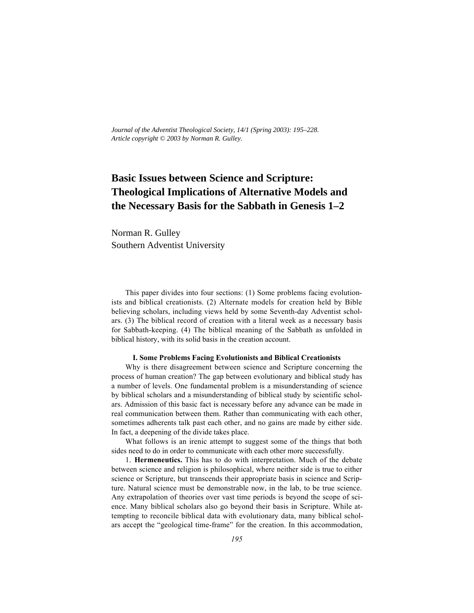*Journal of the Adventist Theological Society, 14/1 (Spring 2003): 195–228. Article copyright © 2003 by Norman R. Gulley.*

# **Basic Issues between Science and Scripture: Theological Implications of Alternative Models and the Necessary Basis for the Sabbath in Genesis 1–2**

Norman R. Gulley Southern Adventist University

This paper divides into four sections: (1) Some problems facing evolutionists and biblical creationists. (2) Alternate models for creation held by Bible believing scholars, including views held by some Seventh-day Adventist scholars. (3) The biblical record of creation with a literal week as a necessary basis for Sabbath-keeping. (4) The biblical meaning of the Sabbath as unfolded in biblical history, with its solid basis in the creation account.

#### **I. Some Problems Facing Evolutionists and Biblical Creationists**

Why is there disagreement between science and Scripture concerning the process of human creation? The gap between evolutionary and biblical study has a number of levels. One fundamental problem is a misunderstanding of science by biblical scholars and a misunderstanding of biblical study by scientific scholars. Admission of this basic fact is necessary before any advance can be made in real communication between them. Rather than communicating with each other, sometimes adherents talk past each other, and no gains are made by either side. In fact, a deepening of the divide takes place.

What follows is an irenic attempt to suggest some of the things that both sides need to do in order to communicate with each other more successfully.

1. **Hermeneutics.** This has to do with interpretation. Much of the debate between science and religion is philosophical, where neither side is true to either science or Scripture, but transcends their appropriate basis in science and Scripture. Natural science must be demonstrable now, in the lab, to be true science. Any extrapolation of theories over vast time periods is beyond the scope of science. Many biblical scholars also go beyond their basis in Scripture. While attempting to reconcile biblical data with evolutionary data, many biblical scholars accept the "geological time-frame" for the creation. In this accommodation,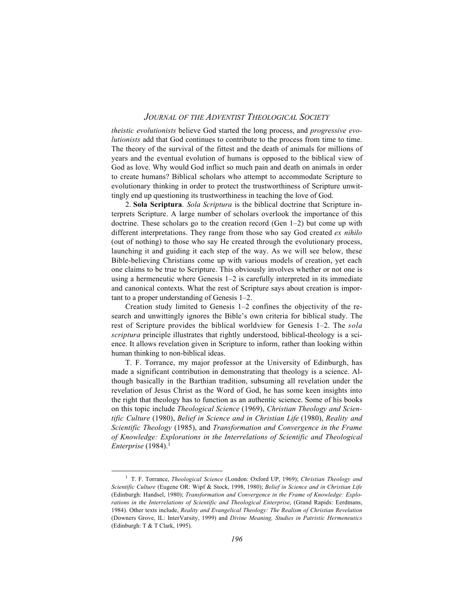*theistic evolutionists* believe God started the long process, and *progressive evolutionists* add that God continues to contribute to the process from time to time. The theory of the survival of the fittest and the death of animals for millions of years and the eventual evolution of humans is opposed to the biblical view of God as love. Why would God inflict so much pain and death on animals in order to create humans? Biblical scholars who attempt to accommodate Scripture to evolutionary thinking in order to protect the trustworthiness of Scripture unwittingly end up questioning its trustworthiness in teaching the love of God.

2. **Sola Scriptura**. *Sola Scriptura* is the biblical doctrine that Scripture interprets Scripture. A large number of scholars overlook the importance of this doctrine. These scholars go to the creation record (Gen 1–2) but come up with different interpretations. They range from those who say God created *ex nihilo* (out of nothing) to those who say He created through the evolutionary process, launching it and guiding it each step of the way. As we will see below, these Bible-believing Christians come up with various models of creation, yet each one claims to be true to Scripture. This obviously involves whether or not one is using a hermeneutic where Genesis 1–2 is carefully interpreted in its immediate and canonical contexts. What the rest of Scripture says about creation is important to a proper understanding of Genesis 1–2.

Creation study limited to Genesis 1–2 confines the objectivity of the research and unwittingly ignores the Bible's own criteria for biblical study. The rest of Scripture provides the biblical worldview for Genesis 1–2. The *sola scriptura* principle illustrates that rightly understood, biblical-theology is a science. It allows revelation given in Scripture to inform, rather than looking within human thinking to non-biblical ideas.

T. F. Torrance, my major professor at the University of Edinburgh, has made a significant contribution in demonstrating that theology is a science. Although basically in the Barthian tradition, subsuming all revelation under the revelation of Jesus Christ as the Word of God, he has some keen insights into the right that theology has to function as an authentic science. Some of his books on this topic include *Theological Science* (1969), *Christian Theology and Scientific Culture* (1980), *Belief in Science and in Christian Life* (1980), *Reality and Scientific Theology* (1985), and *Transformation and Convergence in the Frame of Knowledge: Explorations in the Interrelations of Scientific and Theological Enterprise* (1984).<sup>1</sup>

<sup>1</sup> T. F. Torrance, *Theological Science* (London: Oxford UP, 1969); *Christian Theology and Scientific Culture* (Eugene OR: Wipf & Stock, 1998, 1980); *Belief in Science and in Christian Life* (Edinburgh: Handsel, 1980); *Transformation and Convergence in the Frame of Knowledge: Explorations in the Interrelations of Scientific and Theological Enterprise*, (Grand Rapids: Eerdmans, 1984). Other texts include, *Reality and Evangelical Theology: The Realism of Christian Revelation* (Downers Grove, IL: InterVarsity, 1999) and *Divine Meaning, Studies in Patristic Hermeneutics* (Edinburgh: T & T Clark, 1995).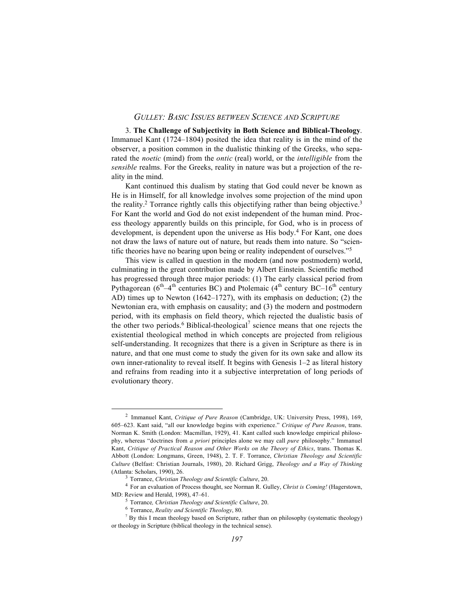3. **The Challenge of Subjectivity in Both Science and Biblical-Theology**. Immanuel Kant (1724–1804) posited the idea that reality is in the mind of the observer, a position common in the dualistic thinking of the Greeks, who separated the *noetic* (mind) from the *ontic* (real) world, or the *intelligible* from the *sensible* realms. For the Greeks, reality in nature was but a projection of the reality in the mind.

Kant continued this dualism by stating that God could never be known as He is in Himself, for all knowledge involves some projection of the mind upon the reality.<sup>2</sup> Torrance rightly calls this objectifying rather than being objective.<sup>3</sup> For Kant the world and God do not exist independent of the human mind. Process theology apparently builds on this principle, for God, who is in process of development, is dependent upon the universe as His body.4 For Kant, one does not draw the laws of nature out of nature, but reads them into nature. So "scientific theories have no bearing upon being or reality independent of ourselves."5

This view is called in question in the modern (and now postmodern) world, culminating in the great contribution made by Albert Einstein. Scientific method has progressed through three major periods: (1) The early classical period from Pythagorean ( $6<sup>th</sup>-4<sup>th</sup>$  centuries BC) and Ptolemaic ( $4<sup>th</sup>$  century BC–1 $6<sup>th</sup>$  century AD) times up to Newton (1642–1727), with its emphasis on deduction; (2) the Newtonian era, with emphasis on causality; and (3) the modern and postmodern period, with its emphasis on field theory, which rejected the dualistic basis of the other two periods.<sup>6</sup> Biblical-theological<sup>7</sup> science means that one rejects the existential theological method in which concepts are projected from religious self-understanding. It recognizes that there is a given in Scripture as there is in nature, and that one must come to study the given for its own sake and allow its own inner-rationality to reveal itself. It begins with Genesis 1–2 as literal history and refrains from reading into it a subjective interpretation of long periods of evolutionary theory.

<sup>2</sup> Immanuel Kant, *Critique of Pure Reason* (Cambridge, UK: University Press, 1998), 169, 605–623. Kant said, "all our knowledge begins with experience." *Critique of Pure Reason*, trans. Norman K. Smith (London: Macmillan, 1929), 41. Kant called such knowledge empirical philosophy, whereas "doctrines from *a priori* principles alone we may call *pure* philosophy." Immanuel Kant, *Critique of Practical Reason and Other Works on the Theory of Ethics*, trans. Thomas K. Abbott (London: Longmans, Green, 1948), 2. T. F. Torrance, *Christian Theology and Scientific Culture* (Belfast: Christian Journals, 1980), 20. Richard Grigg, *Theology and a Way of Thinking* (Atlanta: Scholars, 1990), 26.

<sup>3</sup> Torrance, *Christian Theology and Scientific Culture*, 20.

<sup>4</sup> For an evaluation of Process thought, see Norman R. Gulley, *Christ is Coming!* (Hagerstown, MD: Review and Herald, 1998), 47–61.

<sup>5</sup> Torrance*, Christian Theology and Scientific Culture*, 20.

<sup>6</sup> Torrance, *Reality and Scientific Theology*, 80.

<sup>&</sup>lt;sup>7</sup> By this I mean theology based on Scripture, rather than on philosophy (systematic theology) or theology in Scripture (biblical theology in the technical sense).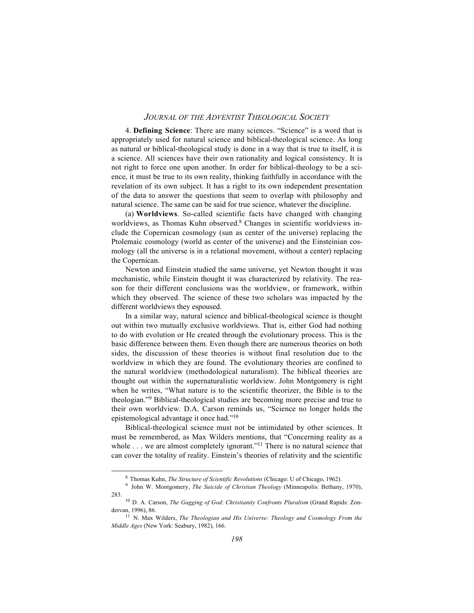4. **Defining Science**: There are many sciences. "Science" is a word that is appropriately used for natural science and biblical-theological science. As long as natural or biblical-theological study is done in a way that is true to itself, it is a science. All sciences have their own rationality and logical consistency. It is not right to force one upon another. In order for biblical-theology to be a science, it must be true to its own reality, thinking faithfully in accordance with the revelation of its own subject. It has a right to its own independent presentation of the data to answer the questions that seem to overlap with philosophy and natural science. The same can be said for true science, whatever the discipline.

(a) **Worldviews**. So-called scientific facts have changed with changing worldviews, as Thomas Kuhn observed.<sup>8</sup> Changes in scientific worldviews include the Copernican cosmology (sun as center of the universe) replacing the Ptolemaic cosmology (world as center of the universe) and the Einsteinian cosmology (all the universe is in a relational movement, without a center) replacing the Copernican.

Newton and Einstein studied the same universe, yet Newton thought it was mechanistic, while Einstein thought it was characterized by relativity. The reason for their different conclusions was the worldview, or framework, within which they observed. The science of these two scholars was impacted by the different worldviews they espoused.

In a similar way, natural science and biblical-theological science is thought out within two mutually exclusive worldviews. That is, either God had nothing to do with evolution or He created through the evolutionary process. This is the basic difference between them. Even though there are numerous theories on both sides, the discussion of these theories is without final resolution due to the worldview in which they are found. The evolutionary theories are confined to the natural worldview (methodological naturalism). The biblical theories are thought out within the supernaturalistic worldview. John Montgomery is right when he writes, "What nature is to the scientific theorizer, the Bible is to the theologian."9 Biblical-theological studies are becoming more precise and true to their own worldview. D.A. Carson reminds us, "Science no longer holds the epistemological advantage it once had."10

Biblical-theological science must not be intimidated by other sciences. It must be remembered, as Max Wilders mentions, that "Concerning reality as a whole . . . we are almost completely ignorant."<sup>11</sup> There is no natural science that can cover the totality of reality. Einstein's theories of relativity and the scientific

<sup>8</sup> Thomas Kuhn, *The Structure of Scientific Revolutions* (Chicago: U of Chicago, 1962).

<sup>9</sup> John W. Montgomery, *The Suicide of Christian Theology* (Minneapolis: Bethany, 1970), 283.

<sup>10</sup> D. A. Carson, *The Gagging of God*: *Christianity Confronts Pluralism* (Grand Rapids: Zondervan, 1996), 86.

<sup>11</sup> N. Max Wilders, *The Theologian and His Universe: Theology and Cosmology From the Middle Ages* (New York: Seabury, 1982), 166.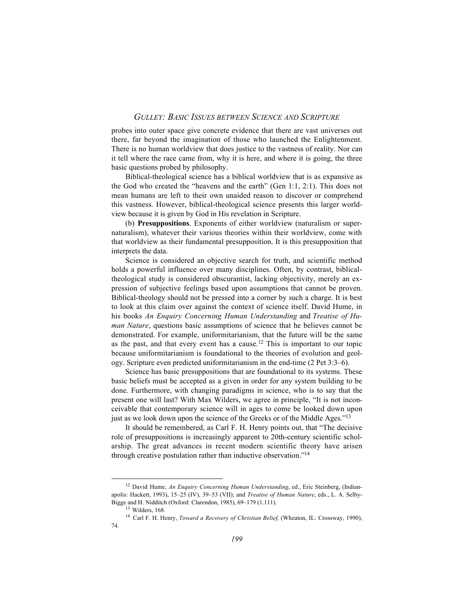probes into outer space give concrete evidence that there are vast universes out there, far beyond the imagination of those who launched the Enlightenment. There is no human worldview that does justice to the vastness of reality. Nor can it tell where the race came from, why it is here, and where it is going, the three basic questions probed by philosophy.

Biblical-theological science has a biblical worldview that is as expansive as the God who created the "heavens and the earth" (Gen 1:1, 2:1). This does not mean humans are left to their own unaided reason to discover or comprehend this vastness. However, biblical-theological science presents this larger worldview because it is given by God in His revelation in Scripture.

(b) **Presuppositions**. Exponents of either worldview (naturalism or supernaturalism), whatever their various theories within their worldview, come with that worldview as their fundamental presupposition. It is this presupposition that interprets the data.

Science is considered an objective search for truth, and scientific method holds a powerful influence over many disciplines. Often, by contrast, biblicaltheological study is considered obscurantist, lacking objectivity, merely an expression of subjective feelings based upon assumptions that cannot be proven. Biblical-theology should not be pressed into a corner by such a charge. It is best to look at this claim over against the context of science itself. David Hume, in his books *An Enquiry Concerning Human Understanding* and *Treatise of Human Nature*, questions basic assumptions of science that he believes cannot be demonstrated. For example, uniformitarianism, that the future will be the same as the past, and that every event has a cause.<sup>12</sup> This is important to our topic because uniformitarianism is foundational to the theories of evolution and geology. Scripture even predicted uniformitarianism in the end-time (2 Pet 3:3–6).

Science has basic presuppositions that are foundational to its systems. These basic beliefs must be accepted as a given in order for any system building to be done. Furthermore, with changing paradigms in science, who is to say that the present one will last? With Max Wilders, we agree in principle, "It is not inconceivable that contemporary science will in ages to come be looked down upon just as we look down upon the science of the Greeks or of the Middle Ages."<sup>13</sup>

It should be remembered, as Carl F. H. Henry points out, that "The decisive role of presuppositions is increasingly apparent to 20th-century scientific scholarship. The great advances in recent modern scientific theory have arisen through creative postulation rather than inductive observation."14

<sup>12</sup> David Hume, *An Enquiry Concerning Human Understanding*, ed., Eric Steinberg, (Indianapolis: Hackett, 1993), 15–25 (IV), 39–53 (VII); and *Treatise of Human Nature*, eds., L. A. Selby-Bigge and H. Nidditch (Oxford: Clarendon, 1985), 69–179 (1.111).

<sup>13</sup> Wilders, 168.

<sup>14</sup> Carl F. H. Henry, *Toward a Recovery of Christian Belief,* (Wheaton, IL: Crossway, 1990), 74.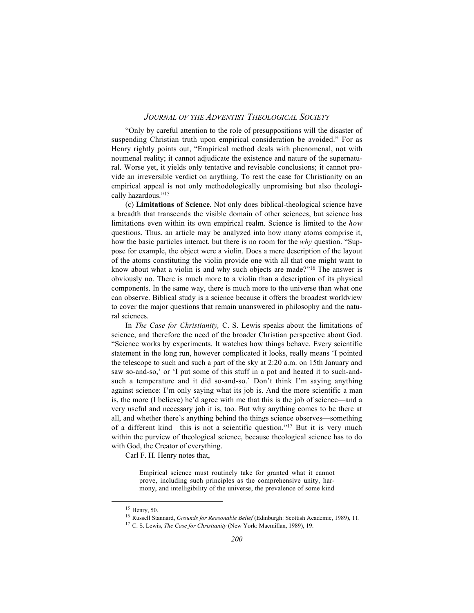"Only by careful attention to the role of presuppositions will the disaster of suspending Christian truth upon empirical consideration be avoided." For as Henry rightly points out, "Empirical method deals with phenomenal, not with noumenal reality; it cannot adjudicate the existence and nature of the supernatural. Worse yet, it yields only tentative and revisable conclusions; it cannot provide an irreversible verdict on anything. To rest the case for Christianity on an empirical appeal is not only methodologically unpromising but also theologically hazardous."<sup>15</sup>

(c) **Limitations of Science**. Not only does biblical-theological science have a breadth that transcends the visible domain of other sciences, but science has limitations even within its own empirical realm. Science is limited to the *how* questions. Thus, an article may be analyzed into how many atoms comprise it, how the basic particles interact, but there is no room for the *why* question. "Suppose for example, the object were a violin. Does a mere description of the layout of the atoms constituting the violin provide one with all that one might want to know about what a violin is and why such objects are made?"16 The answer is obviously no. There is much more to a violin than a description of its physical components. In the same way, there is much more to the universe than what one can observe. Biblical study is a science because it offers the broadest worldview to cover the major questions that remain unanswered in philosophy and the natural sciences.

In *The Case for Christianity,* C. S. Lewis speaks about the limitations of science, and therefore the need of the broader Christian perspective about God. "Science works by experiments. It watches how things behave. Every scientific statement in the long run, however complicated it looks, really means 'I pointed the telescope to such and such a part of the sky at 2:20 a.m. on 15th January and saw so-and-so,' or 'I put some of this stuff in a pot and heated it to such-andsuch a temperature and it did so-and-so.' Don't think I'm saying anything against science: I'm only saying what its job is. And the more scientific a man is, the more (I believe) he'd agree with me that this is the job of science—and a very useful and necessary job it is, too. But why anything comes to be there at all, and whether there's anything behind the things science observes—something of a different kind—this is not a scientific question."17 But it is very much within the purview of theological science, because theological science has to do with God, the Creator of everything.

Carl F. H. Henry notes that,

Empirical science must routinely take for granted what it cannot prove, including such principles as the comprehensive unity, harmony, and intelligibility of the universe, the prevalence of some kind

<sup>15</sup> Henry, 50.

<sup>16</sup> Russell Stannard, *Grounds for Reasonable Belief* (Edinburgh: Scottish Academic, 1989), 11.

<sup>17</sup> C. S. Lewis, *The Case for Christianity* (New York: Macmillan, 1989), 19.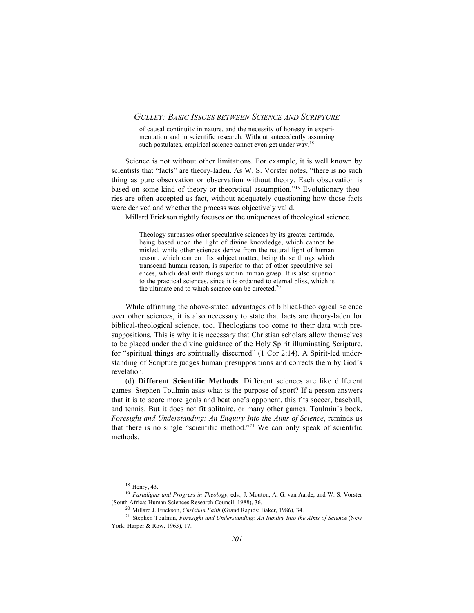of causal continuity in nature, and the necessity of honesty in experimentation and in scientific research. Without antecedently assuming such postulates, empirical science cannot even get under way.<sup>18</sup>

Science is not without other limitations. For example, it is well known by scientists that "facts" are theory-laden. As W. S. Vorster notes, "there is no such thing as pure observation or observation without theory. Each observation is based on some kind of theory or theoretical assumption."19 Evolutionary theories are often accepted as fact, without adequately questioning how those facts were derived and whether the process was objectively valid.

Millard Erickson rightly focuses on the uniqueness of theological science.

Theology surpasses other speculative sciences by its greater certitude, being based upon the light of divine knowledge, which cannot be misled, while other sciences derive from the natural light of human reason, which can err. Its subject matter, being those things which transcend human reason, is superior to that of other speculative sciences, which deal with things within human grasp. It is also superior to the practical sciences, since it is ordained to eternal bliss, which is the ultimate end to which science can be directed.<sup>20</sup>

While affirming the above-stated advantages of biblical-theological science over other sciences, it is also necessary to state that facts are theory-laden for biblical-theological science, too. Theologians too come to their data with presuppositions. This is why it is necessary that Christian scholars allow themselves to be placed under the divine guidance of the Holy Spirit illuminating Scripture, for "spiritual things are spiritually discerned" (1 Cor 2:14). A Spirit-led understanding of Scripture judges human presuppositions and corrects them by God's revelation.

(d) **Different Scientific Methods**. Different sciences are like different games. Stephen Toulmin asks what is the purpose of sport? If a person answers that it is to score more goals and beat one's opponent, this fits soccer, baseball, and tennis. But it does not fit solitaire, or many other games. Toulmin's book, *Foresight and Understanding: An Enquiry Into the Aims of Science*, reminds us that there is no single "scientific method."21 We can only speak of scientific methods.

<sup>18</sup> Henry, 43.

<sup>19</sup> *Paradigms and Progress in Theology*, eds., J. Mouton, A. G. van Aarde, and W. S. Vorster (South Africa: Human Sciences Research Council, 1988), 36.

<sup>20</sup> Millard J. Erickson, *Christian Faith* (Grand Rapids: Baker, 1986), 34.

<sup>21</sup> Stephen Toulmin, *Foresight and Understanding: An Inquiry Into the Aims of Science* (New York: Harper & Row, 1963), 17.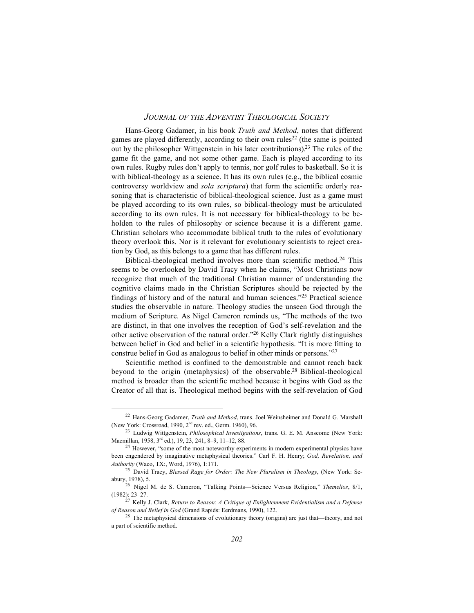Hans-Georg Gadamer, in his book *Truth and Method*, notes that different games are played differently, according to their own rules<sup>22</sup> (the same is pointed out by the philosopher Wittgenstein in his later contributions).23 The rules of the game fit the game, and not some other game. Each is played according to its own rules. Rugby rules don't apply to tennis, nor golf rules to basketball. So it is with biblical-theology as a science. It has its own rules (e.g., the biblical cosmic controversy worldview and *sola scriptura*) that form the scientific orderly reasoning that is characteristic of biblical-theological science. Just as a game must be played according to its own rules, so biblical-theology must be articulated according to its own rules. It is not necessary for biblical-theology to be beholden to the rules of philosophy or science because it is a different game. Christian scholars who accommodate biblical truth to the rules of evolutionary theory overlook this. Nor is it relevant for evolutionary scientists to reject creation by God, as this belongs to a game that has different rules.

Biblical-theological method involves more than scientific method.<sup>24</sup> This seems to be overlooked by David Tracy when he claims, "Most Christians now recognize that much of the traditional Christian manner of understanding the cognitive claims made in the Christian Scriptures should be rejected by the findings of history and of the natural and human sciences."25 Practical science studies the observable in nature. Theology studies the unseen God through the medium of Scripture. As Nigel Cameron reminds us, "The methods of the two are distinct, in that one involves the reception of God's self-revelation and the other active observation of the natural order."26 Kelly Clark rightly distinguishes between belief in God and belief in a scientific hypothesis. "It is more fitting to construe belief in God as analogous to belief in other minds or persons."27

Scientific method is confined to the demonstrable and cannot reach back beyond to the origin (metaphysics) of the observable.28 Biblical-theological method is broader than the scientific method because it begins with God as the Creator of all that is. Theological method begins with the self-revelation of God

<sup>22</sup> Hans-Georg Gadamer, *Truth and Method*, trans. Joel Weinsheimer and Donald G. Marshall (New York: Crossroad, 1990, 2nd rev. ed., Germ. 1960), 96.

<sup>23</sup> Ludwig Wittgenstein, *Philosophical Investigations*, trans. G. E. M. Anscome (New York: Macmillan, 1958, 3<sup>rd</sup> ed.), 19, 23, 241, 8-9, 11-12, 88.

<sup>&</sup>lt;sup>24</sup> However, "some of the most noteworthy experiments in modern experimental physics have been engendered by imaginative metaphysical theories." Carl F. H. Henry; *God, Revelation, and Authority* (Waco, TX:, Word, 1976), 1:171.

<sup>25</sup> David Tracy, *Blessed Rage for Order: The New Pluralism in Theology*, (New York: Seabury, 1978), 5.

<sup>26</sup> Nigel M. de S. Cameron, "Talking Points—Science Versus Religion," *Themelios*, 8/1, (1982): 23–27.

<sup>27</sup> Kelly J. Clark, *Return to Reason*: *A Critique of Enlightenment Evidentialism and a Defense of Reason and Belief in God* (Grand Rapids: Eerdmans, 1990), 122.

<sup>28</sup> The metaphysical dimensions of evolutionary theory (origins) are just that—theory, and not a part of scientific method.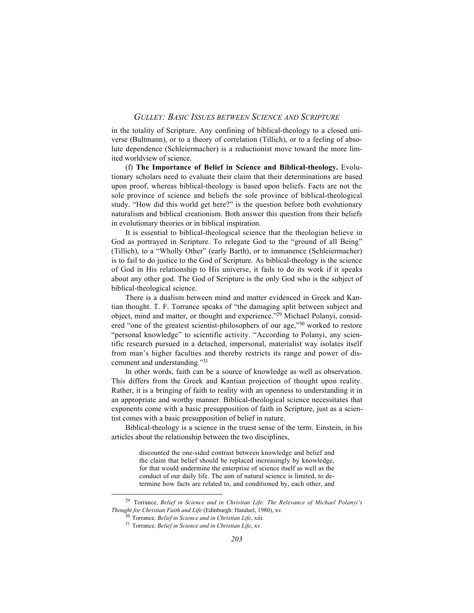in the totality of Scripture. Any confining of biblical-theology to a closed universe (Bultmann), or to a theory of correlation (Tillich), or to a feeling of absolute dependence (Schleiermacher) is a reductionist move toward the more limited worldview of science.

(f) **The Importance of Belief in Science and Biblical-theology.** Evolutionary scholars need to evaluate their claim that their determinations are based upon proof, whereas biblical-theology is based upon beliefs. Facts are not the sole province of science and beliefs the sole province of biblical-theological study. "How did this world get here?" is the question before both evolutionary naturalism and biblical creationism. Both answer this question from their beliefs in evolutionary theories or in biblical inspiration.

It is essential to biblical-theological science that the theologian believe in God as portrayed in Scripture. To relegate God to the "ground of all Being" (Tillich), to a "Wholly Other" (early Barth), or to immanence (Schleiermacher) is to fail to do justice to the God of Scripture. As biblical-theology is the science of God in His relationship to His universe, it fails to do its work if it speaks about any other god. The God of Scripture is the only God who is the subject of biblical-theological science.

There is a dualism between mind and matter evidenced in Greek and Kantian thought. T. F. Torrance speaks of "the damaging split between subject and object, mind and matter, or thought and experience."29 Michael Polanyi, considered "one of the greatest scientist-philosophers of our age,"30 worked to restore "personal knowledge" to scientific activity. "According to Polanyi, any scientific research pursued in a detached, impersonal, materialist way isolates itself from man's higher faculties and thereby restricts its range and power of discernment and understanding."31

In other words, faith can be a source of knowledge as well as observation. This differs from the Greek and Kantian projection of thought upon reality. Rather, it is a bringing of faith to reality with an openness to understanding it in an appropriate and worthy manner. Biblical-theological science necessitates that exponents come with a basic presupposition of faith in Scripture, just as a scientist comes with a basic presupposition of belief in nature.

Biblical-theology is a science in the truest sense of the term. Einstein, in his articles about the relationship between the two disciplines,

> discounted the one-sided contrast between knowledge and belief and the claim that belief should be replaced increasingly by knowledge, for that would undermine the enterprise of science itself as well as the conduct of our daily life. The aim of natural science is limited, to determine how facts are related to, and conditioned by, each other, and

<sup>29</sup> Torrance, *Belief in Science and in Christian Life: The Relevance of Michael Polanyi's Thought for Christian Faith and Life* (Edinburgh: Handsel, 1980), xv.

<sup>30</sup> Torrance*, Belief in Science and in Christian Life*, xiii*.*

<sup>31</sup> Torrance*, Belief in Science and in Christian Life*, xv.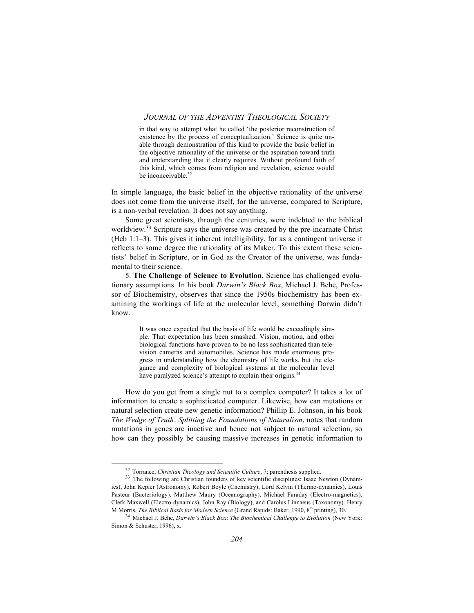in that way to attempt what he called 'the posterior reconstruction of existence by the process of conceptualization.' Science is quite unable through demonstration of this kind to provide the basic belief in the objective rationality of the universe or the aspiration toward truth and understanding that it clearly requires. Without profound faith of this kind, which comes from religion and revelation, science would be inconceivable.<sup>32</sup>

In simple language, the basic belief in the objective rationality of the universe does not come from the universe itself, for the universe, compared to Scripture, is a non-verbal revelation. It does not say anything.

Some great scientists, through the centuries, were indebted to the biblical worldview.<sup>33</sup> Scripture says the universe was created by the pre-incarnate Christ (Heb 1:1–3). This gives it inherent intelligibility, for as a contingent universe it reflects to some degree the rationality of its Maker. To this extent these scientists' belief in Scripture, or in God as the Creator of the universe, was fundamental to their science.

5. **The Challenge of Science to Evolution.** Science has challenged evolutionary assumptions. In his book *Darwin's Black Box*, Michael J. Behe, Professor of Biochemistry, observes that since the 1950s biochemistry has been examining the workings of life at the molecular level, something Darwin didn't know.

> It was once expected that the basis of life would be exceedingly simple. That expectation has been smashed. Vision, motion, and other biological functions have proven to be no less sophisticated than television cameras and automobiles. Science has made enormous progress in understanding how the chemistry of life works, but the elegance and complexity of biological systems at the molecular level have paralyzed science's attempt to explain their origins.<sup>34</sup>

How do you get from a single nut to a complex computer? It takes a lot of information to create a sophisticated computer. Likewise, how can mutations or natural selection create new genetic information? Phillip E. Johnson, in his book *The Wedge of Truth*: *Splitting the Foundations of Naturalism*, notes that random mutations in genes are inactive and hence not subject to natural selection, so how can they possibly be causing massive increases in genetic information to

<sup>32</sup> Torrance, *Christian Theology and Scientific Culture*, 7; parenthesis supplied.

<sup>&</sup>lt;sup>33</sup> The following are Christian founders of key scientific disciplines: Isaac Newton (Dynamics), John Kepler (Astronomy), Robert Boyle (Chemistry), Lord Kelvin (Thermo-dynamics), Louis Pasteur (Bacteriology), Matthew Maury (Oceanography), Michael Faraday (Electro-magnetics), Clerk Maxwell (Electro-dynamics), John Ray (Biology), and Carolus Linnaeus (Taxonomy). Henry M Morris, *The Biblical Basis for Modern Science* (Grand Rapids: Baker, 1990, 8th printing), 30.

<sup>34</sup> Michael J. Behe, *Darwin's Black Box*: *The Biochemical Challenge to Evolution* (New York: Simon & Schuster, 1996), x.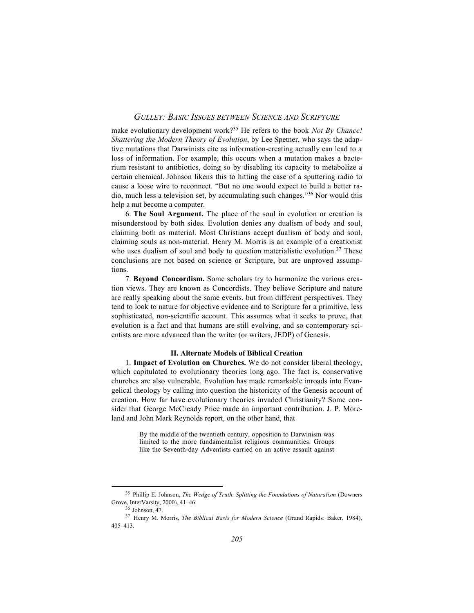make evolutionary development work?35 He refers to the book *Not By Chance! Shattering the Modern Theory of Evolution*, by Lee Spetner, who says the adaptive mutations that Darwinists cite as information-creating actually can lead to a loss of information. For example, this occurs when a mutation makes a bacterium resistant to antibiotics, doing so by disabling its capacity to metabolize a certain chemical. Johnson likens this to hitting the case of a sputtering radio to cause a loose wire to reconnect. "But no one would expect to build a better radio, much less a television set, by accumulating such changes."36 Nor would this help a nut become a computer.

6. **The Soul Argument.** The place of the soul in evolution or creation is misunderstood by both sides. Evolution denies any dualism of body and soul, claiming both as material. Most Christians accept dualism of body and soul, claiming souls as non-material. Henry M. Morris is an example of a creationist who uses dualism of soul and body to question materialistic evolution.<sup>37</sup> These conclusions are not based on science or Scripture, but are unproved assumptions.

7. **Beyond Concordism.** Some scholars try to harmonize the various creation views. They are known as Concordists. They believe Scripture and nature are really speaking about the same events, but from different perspectives. They tend to look to nature for objective evidence and to Scripture for a primitive, less sophisticated, non-scientific account. This assumes what it seeks to prove, that evolution is a fact and that humans are still evolving, and so contemporary scientists are more advanced than the writer (or writers, JEDP) of Genesis.

#### **II. Alternate Models of Biblical Creation**

1. **Impact of Evolution on Churches.** We do not consider liberal theology, which capitulated to evolutionary theories long ago. The fact is, conservative churches are also vulnerable. Evolution has made remarkable inroads into Evangelical theology by calling into question the historicity of the Genesis account of creation. How far have evolutionary theories invaded Christianity? Some consider that George McCready Price made an important contribution. J. P. Moreland and John Mark Reynolds report, on the other hand, that

> By the middle of the twentieth century, opposition to Darwinism was limited to the more fundamentalist religious communities. Groups like the Seventh-day Adventists carried on an active assault against

<sup>35</sup> Phillip E. Johnson, *The Wedge of Truth*: *Splitting the Foundations of Naturalism* (Downers Grove, InterVarsity, 2000), 41–46.

 $36$  Johnson, 47.

<sup>37</sup> Henry M. Morris, *The Biblical Basis for Modern Science* (Grand Rapids: Baker, 1984), 405–413.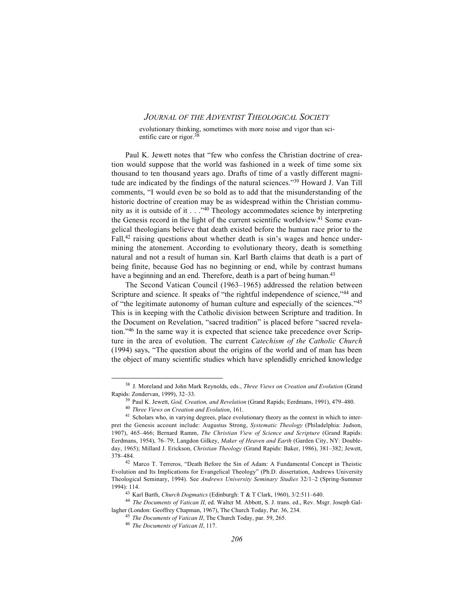evolutionary thinking, sometimes with more noise and vigor than scientific care or rigor.<sup>38</sup>

Paul K. Jewett notes that "few who confess the Christian doctrine of creation would suppose that the world was fashioned in a week of time some six thousand to ten thousand years ago. Drafts of time of a vastly different magnitude are indicated by the findings of the natural sciences."39 Howard J. Van Till comments, "I would even be so bold as to add that the misunderstanding of the historic doctrine of creation may be as widespread within the Christian community as it is outside of it . . ."40 Theology accommodates science by interpreting the Genesis record in the light of the current scientific worldview.<sup>41</sup> Some evangelical theologians believe that death existed before the human race prior to the Fall, $42$  raising questions about whether death is sin's wages and hence undermining the atonement. According to evolutionary theory, death is something natural and not a result of human sin. Karl Barth claims that death is a part of being finite, because God has no beginning or end, while by contrast humans have a beginning and an end. Therefore, death is a part of being human.<sup>43</sup>

The Second Vatican Council (1963–1965) addressed the relation between Scripture and science. It speaks of "the rightful independence of science,"<sup>44</sup> and of "the legitimate autonomy of human culture and especially of the sciences."45 This is in keeping with the Catholic division between Scripture and tradition. In the Document on Revelation, "sacred tradition" is placed before "sacred revelation."46 In the same way it is expected that science take precedence over Scripture in the area of evolution. The current *Catechism of the Catholic Church* (1994) says, "The question about the origins of the world and of man has been the object of many scientific studies which have splendidly enriched knowledge

<sup>38</sup> J. Moreland and John Mark Reynolds, eds., *Three Views on Creation and Evolution* (Grand Rapids: Zondervan, 1999), 32–33.

<sup>39</sup> Paul K. Jewett, *God, Creation, and Revelation* (Grand Rapids; Eerdmans, 1991), 479–480.

<sup>40</sup> *Three Views on Creation and Evolution*, 161.

<sup>41</sup> Scholars who, in varying degrees, place evolutionary theory as the context in which to interpret the Genesis account include: Augustus Strong, *Systematic Theology* (Philadelphia: Judson, 1907), 465–466; Bernard Ramm, *The Christian View of Science and Scripture* (Grand Rapids: Eerdmans, 1954), 76–79; Langdon Gilkey, *Maker of Heaven and Earth* (Garden City, NY: Doubleday, 1965); Millard J. Erickson, *Christian Theology* (Grand Rapids: Baker, 1986), 381–382; Jewett, 378–484.

<sup>42</sup> Marco T. Terreros, "Death Before the Sin of Adam: A Fundamental Concept in Theistic Evolution and Its Implications for Evangelical Theology" (Ph.D. dissertation, Andrews University Theological Seminary, 1994). See *Andrews University Seminary Studies* 32/1–2 (Spring-Summer 1994): 114.

<sup>43</sup> Karl Barth, *Church Dogmatics* (Edinburgh: T & T Clark, 1960), 3/2:511–640.

<sup>44</sup> *The Documents of Vatican II*, ed. Walter M. Abbott, S. J. trans. ed., Rev. Msgr. Joseph Gallagher (London: Geoffrey Chapman, 1967), The Church Today, Par. 36, 234.

<sup>45</sup> *The Documents of Vatican II*, The Church Today, par. 59, 265.

<sup>46</sup> *The Documents of Vatican II*, 117.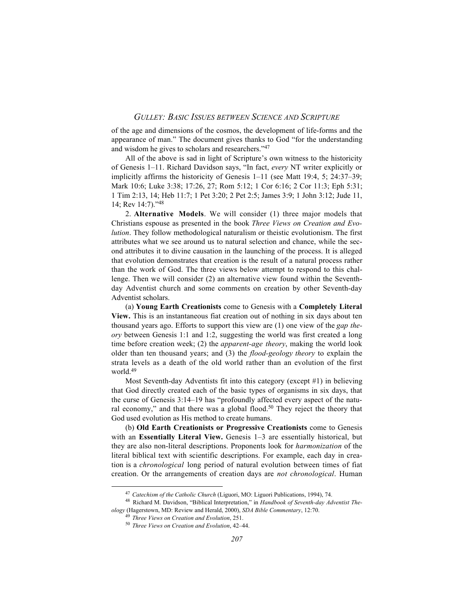of the age and dimensions of the cosmos, the development of life-forms and the appearance of man." The document gives thanks to God "for the understanding and wisdom he gives to scholars and researchers."47

All of the above is sad in light of Scripture's own witness to the historicity of Genesis 1–11. Richard Davidson says, "In fact, *every* NT writer explicitly or implicitly affirms the historicity of Genesis 1–11 (see Matt 19:4, 5; 24:37–39; Mark 10:6; Luke 3:38; 17:26, 27; Rom 5:12; 1 Cor 6:16; 2 Cor 11:3; Eph 5:31; 1 Tim 2:13, 14; Heb 11:7; 1 Pet 3:20; 2 Pet 2:5; James 3:9; 1 John 3:12; Jude 11, 14; Rev 14:7)."48

2. **Alternative Models**. We will consider (1) three major models that Christians espouse as presented in the book *Three Views on Creation and Evolution*. They follow methodological naturalism or theistic evolutionism. The first attributes what we see around us to natural selection and chance, while the second attributes it to divine causation in the launching of the process. It is alleged that evolution demonstrates that creation is the result of a natural process rather than the work of God. The three views below attempt to respond to this challenge. Then we will consider (2) an alternative view found within the Seventhday Adventist church and some comments on creation by other Seventh-day Adventist scholars.

(a) **Young Earth Creationists** come to Genesis with a **Completely Literal View.** This is an instantaneous fiat creation out of nothing in six days about ten thousand years ago. Efforts to support this view are (1) one view of the *gap theory* between Genesis 1:1 and 1:2, suggesting the world was first created a long time before creation week; (2) the *apparent-age theory*, making the world look older than ten thousand years; and (3) the *flood-geology theory* to explain the strata levels as a death of the old world rather than an evolution of the first world.49

Most Seventh-day Adventists fit into this category (except #1) in believing that God directly created each of the basic types of organisms in six days, that the curse of Genesis 3:14–19 has "profoundly affected every aspect of the natural economy," and that there was a global flood.<sup>50</sup> They reject the theory that God used evolution as His method to create humans.

(b) **Old Earth Creationists or Progressive Creationists** come to Genesis with an **Essentially Literal View.** Genesis 1–3 are essentially historical, but they are also non-literal descriptions. Proponents look for *harmonization* of the literal biblical text with scientific descriptions. For example, each day in creation is a *chronological* long period of natural evolution between times of fiat creation. Or the arrangements of creation days are *not chronological*. Human

<sup>47</sup> *Catechism of the Catholic Church* (Liguori, MO: Liguori Publications, 1994), 74.

<sup>48</sup> Richard M. Davidson, "Biblical Interpretation," in *Handbook of Seventh-day Adventist Theology* (Hagerstown, MD: Review and Herald, 2000), *SDA Bible Commentary*, 12:70.

<sup>49</sup> *Three Views on Creation and Evolution*, 251.

<sup>50</sup> *Three Views on Creation and Evolution*, 42–44.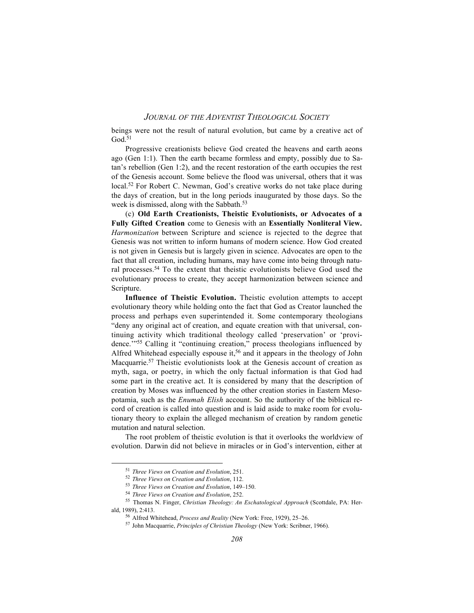beings were not the result of natural evolution, but came by a creative act of God $51$ 

Progressive creationists believe God created the heavens and earth aeons ago (Gen 1:1). Then the earth became formless and empty, possibly due to Satan's rebellion (Gen 1:2), and the recent restoration of the earth occupies the rest of the Genesis account. Some believe the flood was universal, others that it was local.<sup>52</sup> For Robert C. Newman, God's creative works do not take place during the days of creation, but in the long periods inaugurated by those days. So the week is dismissed, along with the Sabbath.<sup>53</sup>

(c) **Old Earth Creationists, Theistic Evolutionists, or Advocates of a Fully Gifted Creation** come to Genesis with an **Essentially Nonliteral View.** *Harmonization* between Scripture and science is rejected to the degree that Genesis was not written to inform humans of modern science. How God created is not given in Genesis but is largely given in science. Advocates are open to the fact that all creation, including humans, may have come into being through natural processes.54 To the extent that theistic evolutionists believe God used the evolutionary process to create, they accept harmonization between science and Scripture.

**Influence of Theistic Evolution.** Theistic evolution attempts to accept evolutionary theory while holding onto the fact that God as Creator launched the process and perhaps even superintended it. Some contemporary theologians "deny any original act of creation, and equate creation with that universal, continuing activity which traditional theology called 'preservation' or 'providence.'"55 Calling it "continuing creation," process theologians influenced by Alfred Whitehead especially espouse it,<sup>56</sup> and it appears in the theology of John Macquarrie.<sup>57</sup> Theistic evolutionists look at the Genesis account of creation as myth, saga, or poetry, in which the only factual information is that God had some part in the creative act. It is considered by many that the description of creation by Moses was influenced by the other creation stories in Eastern Mesopotamia, such as the *Enumah Elish* account. So the authority of the biblical record of creation is called into question and is laid aside to make room for evolutionary theory to explain the alleged mechanism of creation by random genetic mutation and natural selection.

The root problem of theistic evolution is that it overlooks the worldview of evolution. Darwin did not believe in miracles or in God's intervention, either at

<sup>51</sup> *Three Views on Creation and Evolution*, 251.

<sup>52</sup> *Three Views on Creation and Evolution*, 112.

<sup>53</sup> *Three Views on Creation and Evolution*, 149–150.

<sup>54</sup> *Three Views on Creation and Evolution*, 252.

<sup>55</sup> Thomas N. Finger, *Christian Theology: An Eschatological Approach* (Scottdale, PA: Herald, 1989), 2:413.

<sup>56</sup> Alfred Whitehead, *Process and Reality* (New York: Free, 1929), 25–26.

<sup>57</sup> John Macquarrie, *Principles of Christian Theology* (New York: Scribner, 1966).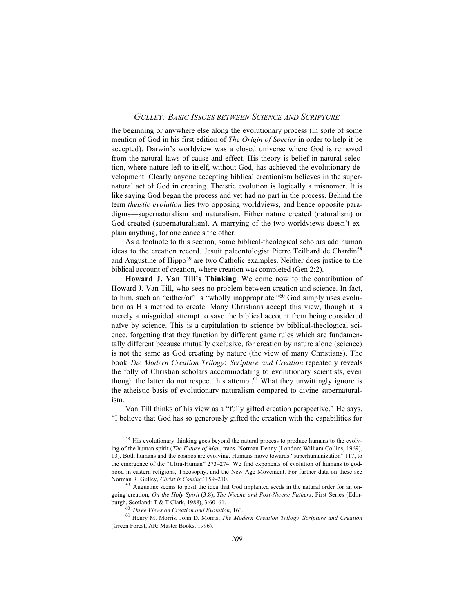the beginning or anywhere else along the evolutionary process (in spite of some mention of God in his first edition of *The Origin of Species* in order to help it be accepted). Darwin's worldview was a closed universe where God is removed from the natural laws of cause and effect. His theory is belief in natural selection, where nature left to itself, without God, has achieved the evolutionary development. Clearly anyone accepting biblical creationism believes in the supernatural act of God in creating. Theistic evolution is logically a misnomer. It is like saying God began the process and yet had no part in the process. Behind the term *theistic evolution* lies two opposing worldviews, and hence opposite paradigms—supernaturalism and naturalism. Either nature created (naturalism) or God created (supernaturalism). A marrying of the two worldviews doesn't explain anything, for one cancels the other.

As a footnote to this section, some biblical-theological scholars add human ideas to the creation record. Jesuit paleontologist Pierre Teilhard de Chardin<sup>58</sup> and Augustine of Hippo<sup>59</sup> are two Catholic examples. Neither does justice to the biblical account of creation, where creation was completed (Gen 2:2).

**Howard J. Van Till's Thinking**. We come now to the contribution of Howard J. Van Till, who sees no problem between creation and science. In fact, to him, such an "either/or" is "wholly inappropriate."<sup>60</sup> God simply uses evolution as His method to create. Many Christians accept this view, though it is merely a misguided attempt to save the biblical account from being considered naïve by science. This is a capitulation to science by biblical-theological science, forgetting that they function by different game rules which are fundamentally different because mutually exclusive, for creation by nature alone (science) is not the same as God creating by nature (the view of many Christians). The book *The Modern Creation Trilogy*: *Scripture and Creation* repeatedly reveals the folly of Christian scholars accommodating to evolutionary scientists, even though the latter do not respect this attempt.<sup>61</sup> What they unwittingly ignore is the atheistic basis of evolutionary naturalism compared to divine supernaturalism.

Van Till thinks of his view as a "fully gifted creation perspective." He says, "I believe that God has so generously gifted the creation with the capabilities for

<sup>&</sup>lt;sup>58</sup> His evolutionary thinking goes beyond the natural process to produce humans to the evolving of the human spirit (*The Future of Man*, trans. Norman Denny [London: William Collins, 1969], 13). Both humans and the cosmos are evolving. Humans move towards "superhumanization" 117, to the emergence of the "Ultra-Human" 273–274. We find exponents of evolution of humans to godhood in eastern religions, Theosophy, and the New Age Movement. For further data on these see Norman R. Gulley, *Christ is Coming!* 159–210.

 $59$  Augustine seems to posit the idea that God implanted seeds in the natural order for an ongoing creation; *On the Holy Spirit* (3:8), *The Nicene and Post-Nicene Fathers*, First Series (Edinburgh, Scotland: T & T Clark, 1988), 3:60–61.

<sup>60</sup> *Three Views on Creation and Evolution*, 163. 61 Henry M. Morris, John D. Morris, *The Modern Creation Trilogy*: *Scripture and Creation* (Green Forest, AR: Master Books, 1996).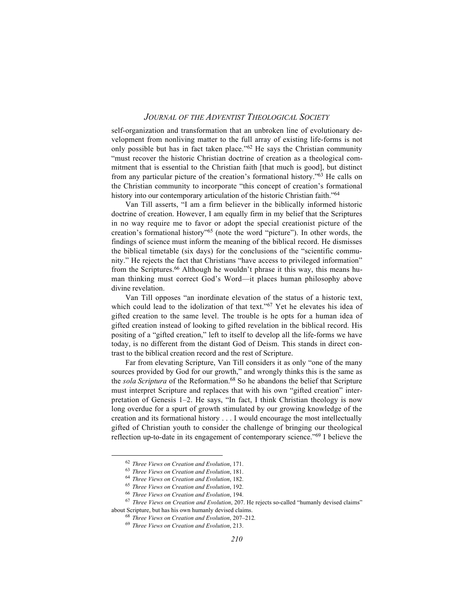self-organization and transformation that an unbroken line of evolutionary development from nonliving matter to the full array of existing life-forms is not only possible but has in fact taken place."62 He says the Christian community "must recover the historic Christian doctrine of creation as a theological commitment that is essential to the Christian faith [that much is good], but distinct from any particular picture of the creation's formational history."63 He calls on the Christian community to incorporate "this concept of creation's formational history into our contemporary articulation of the historic Christian faith."<sup>64</sup>

Van Till asserts, "I am a firm believer in the biblically informed historic doctrine of creation. However, I am equally firm in my belief that the Scriptures in no way require me to favor or adopt the special creationist picture of the creation's formational history"65 (note the word "picture"). In other words, the findings of science must inform the meaning of the biblical record. He dismisses the biblical timetable (six days) for the conclusions of the "scientific community." He rejects the fact that Christians "have access to privileged information" from the Scriptures.<sup>66</sup> Although he wouldn't phrase it this way, this means human thinking must correct God's Word—it places human philosophy above divine revelation.

Van Till opposes "an inordinate elevation of the status of a historic text, which could lead to the idolization of that text."<sup>67</sup> Yet he elevates his idea of gifted creation to the same level. The trouble is he opts for a human idea of gifted creation instead of looking to gifted revelation in the biblical record. His positing of a "gifted creation," left to itself to develop all the life-forms we have today, is no different from the distant God of Deism. This stands in direct contrast to the biblical creation record and the rest of Scripture.

Far from elevating Scripture, Van Till considers it as only "one of the many sources provided by God for our growth," and wrongly thinks this is the same as the *sola Scriptura* of the Reformation.68 So he abandons the belief that Scripture must interpret Scripture and replaces that with his own "gifted creation" interpretation of Genesis 1–2. He says, "In fact, I think Christian theology is now long overdue for a spurt of growth stimulated by our growing knowledge of the creation and its formational history . . . I would encourage the most intellectually gifted of Christian youth to consider the challenge of bringing our theological reflection up-to-date in its engagement of contemporary science."69 I believe the

<sup>62</sup> *Three Views on Creation and Evolution*, 171.

<sup>63</sup> *Three Views on Creation and Evolution*, 181.

<sup>64</sup> *Three Views on Creation and Evolution*, 182.

<sup>65</sup> *Three Views on Creation and Evolution*, 192.

<sup>66</sup> *Three Views on Creation and Evolution*, 194.

<sup>67</sup> *Three Views on Creation and Evolution*, 207. He rejects so-called "humanly devised claims" about Scripture, but has his own humanly devised claims.

<sup>68</sup> *Three Views on Creation and Evolution*, 207–212*.*

<sup>69</sup> *Three Views on Creation and Evolution*, 213.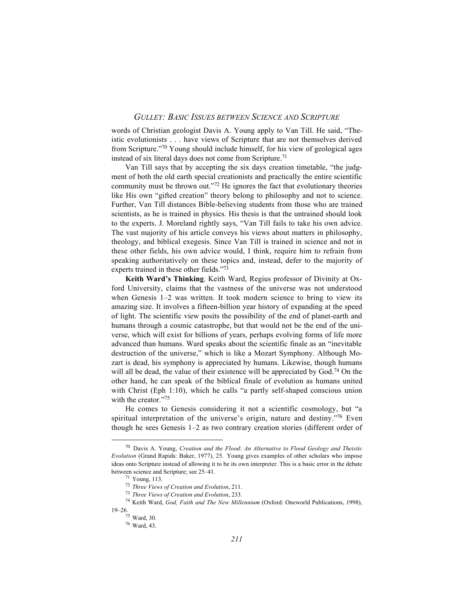words of Christian geologist Davis A. Young apply to Van Till. He said, "Theistic evolutionists . . . have views of Scripture that are not themselves derived from Scripture."70 Young should include himself, for his view of geological ages instead of six literal days does not come from Scripture.<sup>71</sup>

Van Till says that by accepting the six days creation timetable, "the judgment of both the old earth special creationists and practically the entire scientific community must be thrown out."72 He ignores the fact that evolutionary theories like His own "gifted creation" theory belong to philosophy and not to science. Further, Van Till distances Bible-believing students from those who are trained scientists, as he is trained in physics. His thesis is that the untrained should look to the experts. J. Moreland rightly says, "Van Till fails to take his own advice. The vast majority of his article conveys his views about matters in philosophy, theology, and biblical exegesis. Since Van Till is trained in science and not in these other fields, his own advice would, I think, require him to refrain from speaking authoritatively on these topics and, instead, defer to the majority of experts trained in these other fields."<sup>73</sup>

**Keith Ward's Thinking**. Keith Ward, Regius professor of Divinity at Oxford University, claims that the vastness of the universe was not understood when Genesis 1–2 was written. It took modern science to bring to view its amazing size. It involves a fifteen-billion year history of expanding at the speed of light. The scientific view posits the possibility of the end of planet-earth and humans through a cosmic catastrophe, but that would not be the end of the universe, which will exist for billions of years, perhaps evolving forms of life more advanced than humans. Ward speaks about the scientific finale as an "inevitable destruction of the universe," which is like a Mozart Symphony. Although Mozart is dead, his symphony is appreciated by humans. Likewise, though humans will all be dead, the value of their existence will be appreciated by  $God.^{74}$  On the other hand, he can speak of the biblical finale of evolution as humans united with Christ (Eph 1:10), which he calls "a partly self-shaped conscious union with the creator."<sup>75</sup>

He comes to Genesis considering it not a scientific cosmology, but "a spiritual interpretation of the universe's origin, nature and destiny."<sup>76</sup> Even though he sees Genesis 1–2 as two contrary creation stories (different order of

<sup>70</sup> Davis A. Young, *Creation and the Flood*: *An Alternative to Flood Geology and Theistic Evolution* (Grand Rapids: Baker, 1977), 25. Young gives examples of other scholars who impose ideas onto Scripture instead of allowing it to be its own interpreter. This is a basic error in the debate between science and Scripture; see 25–41.

<sup>71</sup> Young, 113.

<sup>72</sup> *Three Views of Creation and Evolution*, 211.

<sup>73</sup> *Three Views of Creation and Evolution*, 233.

<sup>74</sup> Keith Ward, *God, Faith and The New Millennium* (Oxford: Oneworld Publications, 1998), 19–26.<br>75 Ward, 30.

<sup>76</sup> Ward, 43.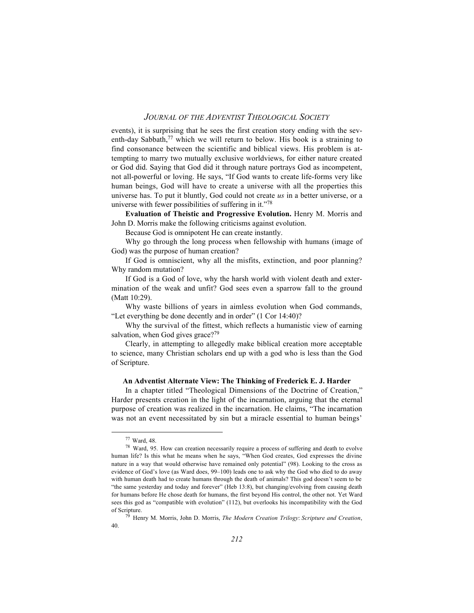events), it is surprising that he sees the first creation story ending with the seventh-day Sabbath,<sup>77</sup> which we will return to below. His book is a straining to find consonance between the scientific and biblical views. His problem is attempting to marry two mutually exclusive worldviews, for either nature created or God did. Saying that God did it through nature portrays God as incompetent, not all-powerful or loving. He says, "If God wants to create life-forms very like human beings, God will have to create a universe with all the properties this universe has. To put it bluntly, God could not create *us* in a better universe, or a universe with fewer possibilities of suffering in it."78

**Evaluation of Theistic and Progressive Evolution.** Henry M. Morris and John D. Morris make the following criticisms against evolution.

Because God is omnipotent He can create instantly.

Why go through the long process when fellowship with humans (image of God) was the purpose of human creation?

If God is omniscient, why all the misfits, extinction, and poor planning? Why random mutation?

If God is a God of love, why the harsh world with violent death and extermination of the weak and unfit? God sees even a sparrow fall to the ground (Matt 10:29).

Why waste billions of years in aimless evolution when God commands, "Let everything be done decently and in order" (1 Cor 14:40)?

Why the survival of the fittest, which reflects a humanistic view of earning salvation, when God gives grace? $79$ 

Clearly, in attempting to allegedly make biblical creation more acceptable to science, many Christian scholars end up with a god who is less than the God of Scripture.

#### **An Adventist Alternate View: The Thinking of Frederick E. J. Harder**

In a chapter titled "Theological Dimensions of the Doctrine of Creation," Harder presents creation in the light of the incarnation, arguing that the eternal purpose of creation was realized in the incarnation. He claims, "The incarnation was not an event necessitated by sin but a miracle essential to human beings'

<sup>77</sup> Ward, 48.

<sup>78</sup> Ward, 95. How can creation necessarily require a process of suffering and death to evolve human life? Is this what he means when he says, "When God creates, God expresses the divine nature in a way that would otherwise have remained only potential" (98). Looking to the cross as evidence of God's love (as Ward does, 99–100) leads one to ask why the God who died to do away with human death had to create humans through the death of animals? This god doesn't seem to be "the same yesterday and today and forever" (Heb 13:8), but changing/evolving from causing death for humans before He chose death for humans, the first beyond His control, the other not. Yet Ward sees this god as "compatible with evolution" (112), but overlooks his incompatibility with the God of Scripture.

<sup>79</sup> Henry M. Morris, John D. Morris, *The Modern Creation Trilogy*: *Scripture and Creation*, 40.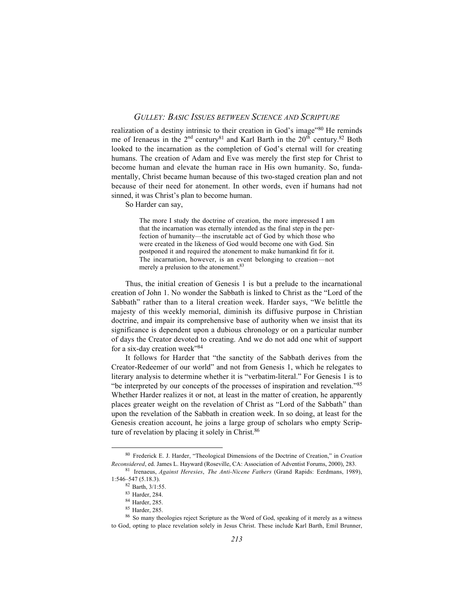realization of a destiny intrinsic to their creation in God's image"80 He reminds me of Irenaeus in the  $2^{nd}$  century<sup>81</sup> and Karl Barth in the  $20^{th}$  century.<sup>82</sup> Both looked to the incarnation as the completion of God's eternal will for creating humans. The creation of Adam and Eve was merely the first step for Christ to become human and elevate the human race in His own humanity. So, fundamentally, Christ became human because of this two-staged creation plan and not because of their need for atonement. In other words, even if humans had not sinned, it was Christ's plan to become human.

So Harder can say,

The more I study the doctrine of creation, the more impressed I am that the incarnation was eternally intended as the final step in the perfection of humanity—the inscrutable act of God by which those who were created in the likeness of God would become one with God. Sin postponed it and required the atonement to make humankind fit for it. The incarnation, however, is an event belonging to creation—not merely a prelusion to the atonement.<sup>83</sup>

Thus, the initial creation of Genesis 1 is but a prelude to the incarnational creation of John 1. No wonder the Sabbath is linked to Christ as the "Lord of the Sabbath" rather than to a literal creation week. Harder says, "We belittle the majesty of this weekly memorial, diminish its diffusive purpose in Christian doctrine, and impair its comprehensive base of authority when we insist that its significance is dependent upon a dubious chronology or on a particular number of days the Creator devoted to creating. And we do not add one whit of support for a six-day creation week"<sup>84</sup>

It follows for Harder that "the sanctity of the Sabbath derives from the Creator-Redeemer of our world" and not from Genesis 1, which he relegates to literary analysis to determine whether it is "verbatim-literal." For Genesis 1 is to "be interpreted by our concepts of the processes of inspiration and revelation."85 Whether Harder realizes it or not, at least in the matter of creation, he apparently places greater weight on the revelation of Christ as "Lord of the Sabbath" than upon the revelation of the Sabbath in creation week. In so doing, at least for the Genesis creation account, he joins a large group of scholars who empty Scripture of revelation by placing it solely in Christ.<sup>86</sup>

<sup>80</sup> Frederick E. J. Harder, "Theological Dimensions of the Doctrine of Creation," in *Creation Reconsidered*, ed. James L. Hayward (Roseville, CA: Association of Adventist Forums, 2000), 283. <sup>81</sup> Irenaeus, *Against Heresies*, *The Anti-Nicene Fathers* (Grand Rapids: Eerdmans, 1989),

<sup>1:546–547 (5.18.3).</sup>

<sup>82</sup> Barth, 3/1:55.

<sup>83</sup> Harder, 284.

<sup>84</sup> Harder, 285.

<sup>85</sup> Harder, 285.

<sup>86</sup> So many theologies reject Scripture as the Word of God, speaking of it merely as a witness to God, opting to place revelation solely in Jesus Christ. These include Karl Barth, Emil Brunner,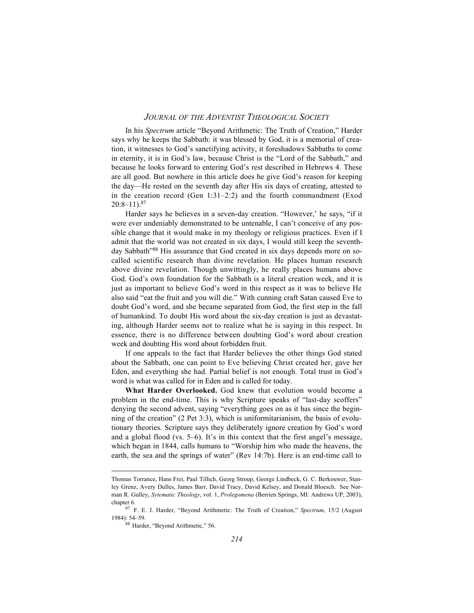In his *Spectrum* article "Beyond Arithmetic: The Truth of Creation," Harder says why he keeps the Sabbath: it was blessed by God, it is a memorial of creation, it witnesses to God's sanctifying activity, it foreshadows Sabbaths to come in eternity, it is in God's law, because Christ is the "Lord of the Sabbath," and because he looks forward to entering God's rest described in Hebrews 4. These are all good. But nowhere in this article does he give God's reason for keeping the day—He rested on the seventh day after His six days of creating, attested to in the creation record (Gen 1:31–2:2) and the fourth commandment (Exod  $20:8-11$ ).<sup>87</sup>

Harder says he believes in a seven-day creation. "However,' he says, "if it were ever undeniably demonstrated to be untenable, I can't conceive of any possible change that it would make in my theology or religious practices. Even if I admit that the world was not created in six days, I would still keep the seventhday Sabbath<sup>788</sup> His assurance that God created in six days depends more on socalled scientific research than divine revelation. He places human research above divine revelation. Though unwittingly, he really places humans above God. God's own foundation for the Sabbath is a literal creation week, and it is just as important to believe God's word in this respect as it was to believe He also said "eat the fruit and you will die." With cunning craft Satan caused Eve to doubt God's word, and she became separated from God, the first step in the fall of humankind. To doubt His word about the six-day creation is just as devastating, although Harder seems not to realize what he is saying in this respect. In essence, there is no difference between doubting God's word about creation week and doubting His word about forbidden fruit.

If one appeals to the fact that Harder believes the other things God stated about the Sabbath, one can point to Eve believing Christ created her, gave her Eden, and everything she had. Partial belief is not enough. Total trust in God's word is what was called for in Eden and is called for today.

**What Harder Overlooked.** God knew that evolution would become a problem in the end-time. This is why Scripture speaks of "last-day scoffers" denying the second advent, saying "everything goes on as it has since the beginning of the creation" (2 Pet 3:3), which is uniformitarianism, the basis of evolutionary theories. Scripture says they deliberately ignore creation by God's word and a global flood (vs. 5–6). It's in this context that the first angel's message, which began in 1844, calls humans to "Worship him who made the heavens, the earth, the sea and the springs of water" (Rev 14:7b). Here is an end-time call to

 $\overline{a}$ 

Thomas Torrance, Hans Frei, Paul Tillich, Georg Stroup, George Lindbeck, G. C. Berkouwer, Stanley Grenz, Avery Dulles, James Barr, David Tracy, David Kelsey, and Donald Bloesch. See Norman R. Gulley, *Sytematic Theology*, vol. 1, *Prolegomena* (Berrien Springs, MI: Andrews UP, 2003), chapter 6.

<sup>87</sup> F. E. J. Harder, "Beyond Arithmetic: The Truth of Creation," *Spectrum*, 15/2 (August 1984): 54–59.

<sup>88</sup> Harder, "Beyond Arithmetic," 56.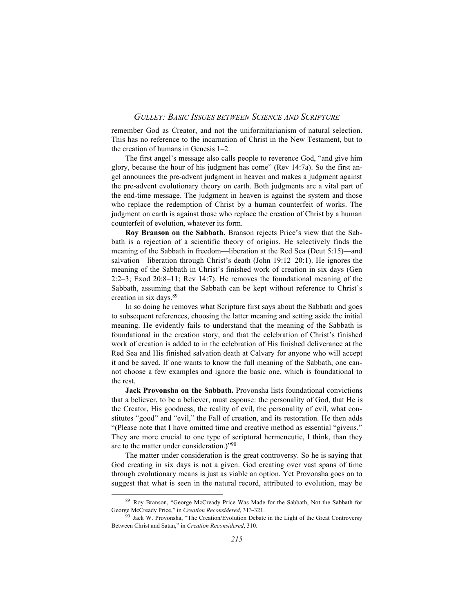remember God as Creator, and not the uniformitarianism of natural selection. This has no reference to the incarnation of Christ in the New Testament, but to the creation of humans in Genesis 1–2.

The first angel's message also calls people to reverence God, "and give him glory, because the hour of his judgment has come" (Rev 14:7a). So the first angel announces the pre-advent judgment in heaven and makes a judgment against the pre-advent evolutionary theory on earth. Both judgments are a vital part of the end-time message. The judgment in heaven is against the system and those who replace the redemption of Christ by a human counterfeit of works. The judgment on earth is against those who replace the creation of Christ by a human counterfeit of evolution, whatever its form.

**Roy Branson on the Sabbath.** Branson rejects Price's view that the Sabbath is a rejection of a scientific theory of origins. He selectively finds the meaning of the Sabbath in freedom—liberation at the Red Sea (Deut 5:15)—and salvation—liberation through Christ's death (John 19:12–20:1). He ignores the meaning of the Sabbath in Christ's finished work of creation in six days (Gen 2:2–3; Exod 20:8–11; Rev 14:7). He removes the foundational meaning of the Sabbath, assuming that the Sabbath can be kept without reference to Christ's creation in six days.89

In so doing he removes what Scripture first says about the Sabbath and goes to subsequent references, choosing the latter meaning and setting aside the initial meaning. He evidently fails to understand that the meaning of the Sabbath is foundational in the creation story, and that the celebration of Christ's finished work of creation is added to in the celebration of His finished deliverance at the Red Sea and His finished salvation death at Calvary for anyone who will accept it and be saved. If one wants to know the full meaning of the Sabbath, one cannot choose a few examples and ignore the basic one, which is foundational to the rest.

**Jack Provonsha on the Sabbath.** Provonsha lists foundational convictions that a believer, to be a believer, must espouse: the personality of God, that He is the Creator, His goodness, the reality of evil, the personality of evil, what constitutes "good" and "evil," the Fall of creation, and its restoration. He then adds "(Please note that I have omitted time and creative method as essential "givens." They are more crucial to one type of scriptural hermeneutic, I think, than they are to the matter under consideration.)"90

The matter under consideration is the great controversy. So he is saying that God creating in six days is not a given. God creating over vast spans of time through evolutionary means is just as viable an option. Yet Provonsha goes on to suggest that what is seen in the natural record, attributed to evolution, may be

<sup>89</sup> Roy Branson, "George McCready Price Was Made for the Sabbath, Not the Sabbath for George McCready Price," in *Creation Reconsidered*, 313-321.

<sup>90</sup> Jack W. Provonsha, "The Creation/Evolution Debate in the Light of the Great Controversy Between Christ and Satan," in *Creation Reconsidered*, 310.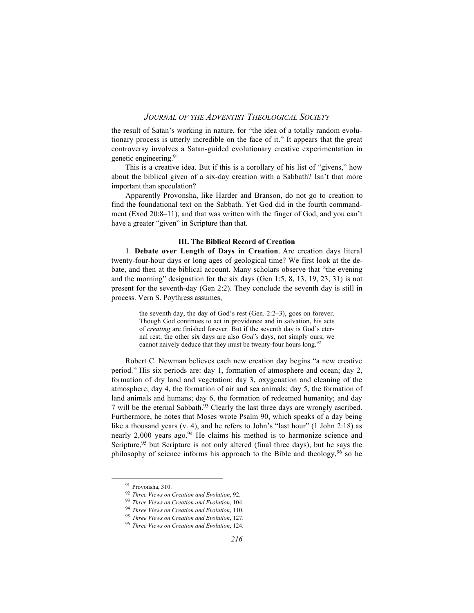the result of Satan's working in nature, for "the idea of a totally random evolutionary process is utterly incredible on the face of it." It appears that the great controversy involves a Satan-guided evolutionary creative experimentation in genetic engineering.91

This is a creative idea. But if this is a corollary of his list of "givens," how about the biblical given of a six-day creation with a Sabbath? Isn't that more important than speculation?

Apparently Provonsha, like Harder and Branson, do not go to creation to find the foundational text on the Sabbath. Yet God did in the fourth commandment (Exod 20:8–11), and that was written with the finger of God, and you can't have a greater "given" in Scripture than that.

# **III. The Biblical Record of Creation**

1. **Debate over Length of Days in Creation**. Are creation days literal twenty-four-hour days or long ages of geological time? We first look at the debate, and then at the biblical account. Many scholars observe that "the evening and the morning" designation for the six days (Gen 1:5, 8, 13, 19, 23, 31) is not present for the seventh-day (Gen 2:2). They conclude the seventh day is still in process. Vern S. Poythress assumes,

> the seventh day, the day of God's rest (Gen. 2:2–3), goes on forever. Though God continues to act in providence and in salvation, his acts of *creating* are finished forever*.* But if the seventh day is God's eternal rest, the other six days are also *God's* days, not simply ours; we cannot naively deduce that they must be twenty-four hours long.<sup>92</sup>

Robert C. Newman believes each new creation day begins "a new creative period." His six periods are: day 1, formation of atmosphere and ocean; day 2, formation of dry land and vegetation; day 3, oxygenation and cleaning of the atmosphere; day 4, the formation of air and sea animals; day 5, the formation of land animals and humans; day 6, the formation of redeemed humanity; and day 7 will be the eternal Sabbath.93 Clearly the last three days are wrongly ascribed. Furthermore, he notes that Moses wrote Psalm 90, which speaks of a day being like a thousand years (v. 4), and he refers to John's "last hour" (1 John 2:18) as nearly 2,000 years ago.<sup>94</sup> He claims his method is to harmonize science and Scripture,<sup>95</sup> but Scripture is not only altered (final three days), but he says the philosophy of science informs his approach to the Bible and theology,  $96$  so he

<sup>91</sup> Provonsha, 310.

<sup>92</sup> *Three Views on Creation and Evolution*, 92.

<sup>93</sup> *Three Views on Creation and Evolution*, 104.

<sup>94</sup> *Three Views on Creation and Evolution*, 110.

<sup>95</sup> *Three Views on Creation and Evolution*, 127.

<sup>96</sup> *Three Views on Creation and Evolution*, 124.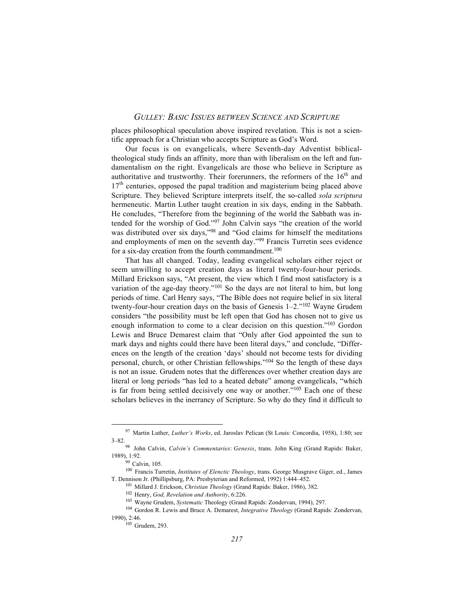places philosophical speculation above inspired revelation. This is not a scientific approach for a Christian who accepts Scripture as God's Word.

Our focus is on evangelicals, where Seventh-day Adventist biblicaltheological study finds an affinity, more than with liberalism on the left and fundamentalism on the right. Evangelicals are those who believe in Scripture as authoritative and trustworthy. Their forerunners, the reformers of the  $16<sup>th</sup>$  and 17<sup>th</sup> centuries, opposed the papal tradition and magisterium being placed above Scripture. They believed Scripture interprets itself, the so-called *sola scriptura* hermeneutic. Martin Luther taught creation in six days, ending in the Sabbath. He concludes, "Therefore from the beginning of the world the Sabbath was intended for the worship of God."97 John Calvin says "the creation of the world was distributed over six days,"<sup>98</sup> and "God claims for himself the meditations and employments of men on the seventh day."<sup>99</sup> Francis Turretin sees evidence for a six-day creation from the fourth commandment.<sup>100</sup>

That has all changed. Today, leading evangelical scholars either reject or seem unwilling to accept creation days as literal twenty-four-hour periods. Millard Erickson says, "At present, the view which I find most satisfactory is a variation of the age-day theory."<sup>101</sup> So the days are not literal to him, but long periods of time. Carl Henry says, "The Bible does not require belief in six literal twenty-four-hour creation days on the basis of Genesis 1–2."102 Wayne Grudem considers "the possibility must be left open that God has chosen not to give us enough information to come to a clear decision on this question."<sup>103</sup> Gordon Lewis and Bruce Demarest claim that "Only after God appointed the sun to mark days and nights could there have been literal days," and conclude, "Differences on the length of the creation 'days' should not become tests for dividing personal, church, or other Christian fellowships."104 So the length of these days is not an issue. Grudem notes that the differences over whether creation days are literal or long periods "has led to a heated debate" among evangelicals, "which is far from being settled decisively one way or another."105 Each one of these scholars believes in the inerrancy of Scripture. So why do they find it difficult to

<sup>97</sup> Martin Luther, *Luther's Works*, ed. Jaroslav Pelican (St Louis: Concordia, 1958), 1:80; see 3–82.98 John Calvin, *Calvin's Commentaries*: *Genesis*, trans. John King (Grand Rapids: Baker,

<sup>1989), 1:92.</sup> 1989), 1:92.<br><sup>99</sup> Calvin, 105.

<sup>100</sup> Francis Turretin, *Institutes of Elenctic Theology*, trans. George Musgrave Giger, ed., James T. Dennison Jr. (Phillipsburg, PA: Presbyterian and Reformed, 1992) 1:444–452.

<sup>101</sup> Millard J. Erickson, *Christian Theology* (Grand Rapids: Baker, 1986), 382.

<sup>102</sup> Henry, *God, Revelation and Authority*, 6:226.

<sup>103</sup> Wayne Grudem, *Systematic* Theology (Grand Rapids: Zondervan, 1994), 297.

<sup>104</sup> Gordon R. Lewis and Bruce A. Demarest, *Integrative Theology* (Grand Rapids: Zondervan, 1990), 2:46.

<sup>105</sup> Grudem, 293.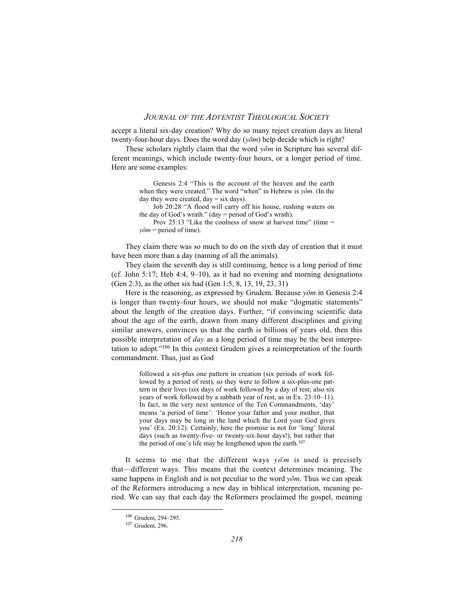accept a literal six-day creation? Why do so many reject creation days as literal twenty-four-hour days. Does the word day (*yôm*) help decide which is right?

These scholars rightly claim that the word  $y\hat{o}m$  in Scripture has several different meanings, which include twenty-four hours, or a longer period of time. Here are some examples:

> Genesis 2:4 "This is the account of the heaven and the earth when they were created." The word "when" in Hebrew is *yôm*. (In the day they were created,  $day = \text{s}$  days).

> Job 20:28 "A flood will carry off his house, rushing waters on the day of God's wrath." (day = period of God's wrath).

> Prov 25:13 "Like the coolness of snow at harvest time" (time =  $y\hat{o}m$  = period of time).

They claim there was so much to do on the sixth day of creation that it must have been more than a day (naming of all the animals).

They claim the seventh day is still continuing, hence is a long period of time (cf. John 5:17; Heb 4:4, 9–10), as it had no evening and morning designations (Gen 2:3), as the other six had (Gen 1:5, 8, 13, 19, 23, 31)

Here is the reasoning, as expressed by Grudem. Because *yôm* in Genesis 2:4 is longer than twenty-four hours, we should not make "dogmatic statements" about the length of the creation days. Further, "if convincing scientific data about the age of the earth, drawn from many different disciplines and giving similar answers, convinces us that the earth is billions of years old, then this possible interpretation of *day* as a long period of time may be the best interpretation to adopt."106 In this context Grudem gives a reinterpretation of the fourth commandment. Thus, just as God

> followed a six-plus one pattern in creation (six periods of work followed by a period of rest), so they were to follow a six-plus-one pattern in their lives (six days of work followed by a day of rest; also six years of work followed by a sabbath year of rest, as in Ex. 23:10–11). In fact, in the very next sentence of the Ten Commandments, 'day' means 'a period of time': 'Honor your father and your mother, that your days may be long in the land which the Lord your God gives you' (Ex. 20:12). Certainly, here the promise is not for 'long' literal days (such as twenty-five- or twenty-six-hour days!), but rather that the period of one's life may be lengthened upon the earth.<sup>107</sup>

It seems to me that the different ways  $y \hat{\theta} m$  is used is precisely that—different ways. This means that the context determines meaning. The same happens in English and is not peculiar to the word *yôm*. Thus we can speak of the Reformers introducing a new day in biblical interpretation, meaning period. We can say that each day the Reformers proclaimed the gospel, meaning

<sup>106</sup> Grudem, 294–295.

<sup>107</sup> Grudem, 296.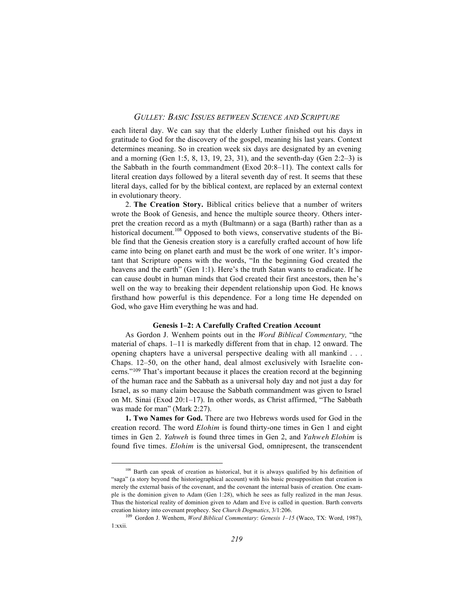each literal day. We can say that the elderly Luther finished out his days in gratitude to God for the discovery of the gospel, meaning his last years. Context determines meaning. So in creation week six days are designated by an evening and a morning (Gen 1:5, 8, 13, 19, 23, 31), and the seventh-day (Gen 2:2–3) is the Sabbath in the fourth commandment (Exod 20:8–11). The context calls for literal creation days followed by a literal seventh day of rest. It seems that these literal days, called for by the biblical context, are replaced by an external context in evolutionary theory.

2. **The Creation Story.** Biblical critics believe that a number of writers wrote the Book of Genesis, and hence the multiple source theory. Others interpret the creation record as a myth (Bultmann) or a saga (Barth) rather than as a historical document.<sup>108</sup> Opposed to both views, conservative students of the Bible find that the Genesis creation story is a carefully crafted account of how life came into being on planet earth and must be the work of one writer. It's important that Scripture opens with the words, "In the beginning God created the heavens and the earth" (Gen 1:1). Here's the truth Satan wants to eradicate. If he can cause doubt in human minds that God created their first ancestors, then he's well on the way to breaking their dependent relationship upon God. He knows firsthand how powerful is this dependence. For a long time He depended on God, who gave Him everything he was and had.

#### **Genesis 1–2: A Carefully Crafted Creation Account**

As Gordon J. Wenhem points out in the *Word Biblical Commentary,* "the material of chaps. 1–11 is markedly different from that in chap. 12 onward. The opening chapters have a universal perspective dealing with all mankind . . . Chaps. 12–50, on the other hand, deal almost exclusively with Israelite concerns."109 That's important because it places the creation record at the beginning of the human race and the Sabbath as a universal holy day and not just a day for Israel, as so many claim because the Sabbath commandment was given to Israel on Mt. Sinai (Exod 20:1–17). In other words, as Christ affirmed, "The Sabbath was made for man" (Mark 2:27).

**1. Two Names for God.** There are two Hebrews words used for God in the creation record. The word *Elohim* is found thirty-one times in Gen 1 and eight times in Gen 2. *Yahweh* is found three times in Gen 2, and *Yahweh Elohim* is found five times. *Elohim* is the universal God, omnipresent, the transcendent

<sup>&</sup>lt;sup>108</sup> Barth can speak of creation as historical, but it is always qualified by his definition of "saga" (a story beyond the historiographical account) with his basic presupposition that creation is merely the external basis of the covenant, and the covenant the internal basis of creation. One example is the dominion given to Adam (Gen 1:28), which he sees as fully realized in the man Jesus. Thus the historical reality of dominion given to Adam and Eve is called in question. Barth converts creation history into covenant prophecy. See *Church Dogmatics*, 3/1:206.

<sup>109</sup> Gordon J. Wenhem, *Word Biblical Commentary*: *Genesis 1–15* (Waco, TX: Word, 1987), 1:xxii.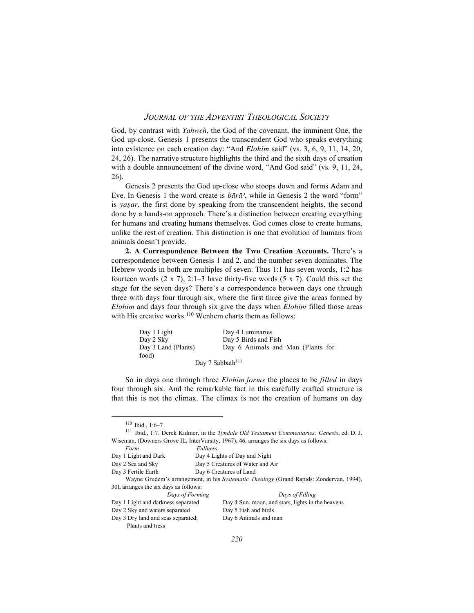God, by contrast with *Yahweh*, the God of the covenant, the imminent One, the God up-close. Genesis 1 presents the transcendent God who speaks everything into existence on each creation day: "And *Elohim* said" (vs. 3, 6, 9, 11, 14, 20, 24, 26). The narrative structure highlights the third and the sixth days of creation with a double announcement of the divine word, "And God said" (vs. 9, 11, 24, 26).

Genesis 2 presents the God up-close who stoops down and forms Adam and Eve. In Genesis 1 the word create is  $b\bar{a}r\bar{a}$ <sup>2</sup>, while in Genesis 2 the word "form" is *yaşar*, the first done by speaking from the transcendent heights, the second done by a hands-on approach. There's a distinction between creating everything for humans and creating humans themselves. God comes close to create humans, unlike the rest of creation. This distinction is one that evolution of humans from animals doesn't provide.

**2. A Correspondence Between the Two Creation Accounts.** There's a correspondence between Genesis 1 and 2, and the number seven dominates. The Hebrew words in both are multiples of seven. Thus 1:1 has seven words, 1:2 has fourteen words  $(2 \times 7)$ , 2:1–3 have thirty-five words  $(5 \times 7)$ . Could this set the stage for the seven days? There's a correspondence between days one through three with days four through six, where the first three give the areas formed by *Elohim* and days four through six give the days when *Elohim* filled those areas with His creative works. $110$  Wenhem charts them as follows:

| Day 1 Light                  | Day 4 Luminaries                  |
|------------------------------|-----------------------------------|
| Day 2 Sky                    | Day 5 Birds and Fish              |
| Day 3 Land (Plants)          | Day 6 Animals and Man (Plants for |
| food)                        |                                   |
| Day 7 Sabbath <sup>111</sup> |                                   |

So in days one through three *Elohim forms* the places to be *filled* in days four through six. And the remarkable fact in this carefully crafted structure is that this is not the climax. The climax is not the creation of humans on day

<sup>110</sup> Ibid., 1:6–7

<sup>111</sup> Ibid., 1:7. Derek Kidmer, in the *Tyndale Old Testament Commentaries: Genesis*, ed. D. J. Wiseman, (Downers Grove IL, InterVarsity, 1967), 46, arranges the six days as follows: *Form Fullness* Day 1 Light and Dark Day 4 Lights of Day and Night Day 2 Sea and Sky Day 5 Creatures of Water and Air Day 3 Fertile Earth Day 6 Creatures of Land Wayne Grudem's arrangement, in his *Systematic Theology* (Grand Rapids: Zondervan, 1994), 30l, arranges the six days as follows: *Days of Forming Days of Filling* Day 1 Light and darkness separated Day 4 Sun, moon, and stars, lights in the heavens Day 2 Sky and waters separated Day 5 Fish and birds Day 3 Dry land and seas separated; Day 6 Animals and man Plants and tress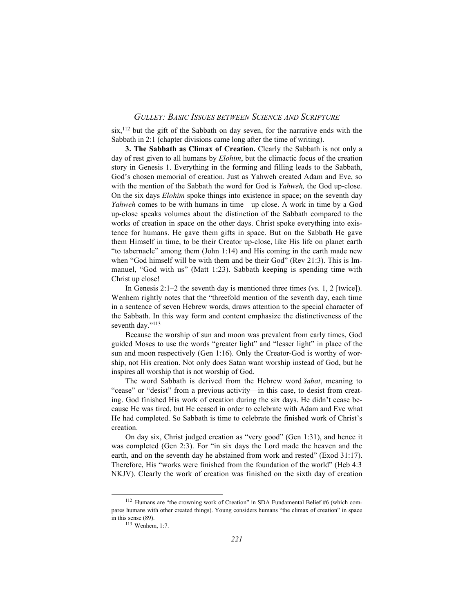$s$ ix,<sup>112</sup> but the gift of the Sabbath on day seven, for the narrative ends with the Sabbath in 2:1 (chapter divisions came long after the time of writing).

**3. The Sabbath as Climax of Creation.** Clearly the Sabbath is not only a day of rest given to all humans by *Elohim*, but the climactic focus of the creation story in Genesis 1. Everything in the forming and filling leads to the Sabbath, God's chosen memorial of creation. Just as Yahweh created Adam and Eve, so with the mention of the Sabbath the word for God is *Yahweh,* the God up-close. On the six days *Elohim* spoke things into existence in space; on the seventh day *Yahweh* comes to be with humans in time—up close. A work in time by a God up-close speaks volumes about the distinction of the Sabbath compared to the works of creation in space on the other days. Christ spoke everything into existence for humans. He gave them gifts in space. But on the Sabbath He gave them Himself in time, to be their Creator up-close, like His life on planet earth "to tabernacle" among them (John 1:14) and His coming in the earth made new when "God himself will be with them and be their God" (Rev 21:3). This is Immanuel, "God with us" (Matt 1:23). Sabbath keeping is spending time with Christ up close!

In Genesis 2:1–2 the seventh day is mentioned three times (vs. 1, 2 [twice]). Wenhem rightly notes that the "threefold mention of the seventh day, each time in a sentence of seven Hebrew words, draws attention to the special character of the Sabbath. In this way form and content emphasize the distinctiveness of the seventh day."<sup>113</sup>

Because the worship of sun and moon was prevalent from early times, God guided Moses to use the words "greater light" and "lesser light" in place of the sun and moon respectively (Gen 1:16). Only the Creator-God is worthy of worship, not His creation. Not only does Satan want worship instead of God, but he inspires all worship that is not worship of God.

The word Sabbath is derived from the Hebrew word *šabat*, meaning to "cease" or "desist" from a previous activity—in this case, to desist from creating. God finished His work of creation during the six days. He didn't cease because He was tired, but He ceased in order to celebrate with Adam and Eve what He had completed. So Sabbath is time to celebrate the finished work of Christ's creation.

On day six, Christ judged creation as "very good" (Gen 1:31), and hence it was completed (Gen 2:3). For "in six days the Lord made the heaven and the earth, and on the seventh day he abstained from work and rested" (Exod 31:17). Therefore, His "works were finished from the foundation of the world" (Heb 4:3 NKJV). Clearly the work of creation was finished on the sixth day of creation

<sup>112</sup> Humans are "the crowning work of Creation" in SDA Fundamental Belief #6 (which compares humans with other created things). Young considers humans "the climax of creation" in space in this sense (89).

<sup>113</sup> Wenhem, 1:7.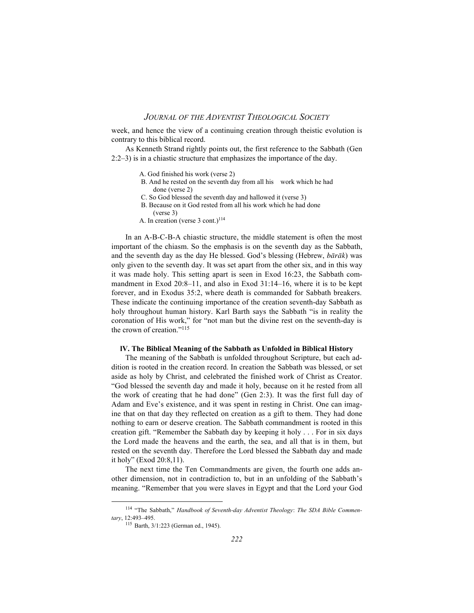week, and hence the view of a continuing creation through theistic evolution is contrary to this biblical record.

As Kenneth Strand rightly points out, the first reference to the Sabbath (Gen 2:2–3) is in a chiastic structure that emphasizes the importance of the day.

- A. God finished his work (verse 2)
- B. And he rested on the seventh day from all his work which he had done (verse 2)
- C. So God blessed the seventh day and hallowed it (verse 3)
- B. Because on it God rested from all his work which he had done (verse 3)
- A. In creation (verse 3 cont.)<sup>114</sup>

In an A-B-C-B-A chiastic structure, the middle statement is often the most important of the chiasm. So the emphasis is on the seventh day as the Sabbath, and the seventh day as the day He blessed. God's blessing (Hebrew, *bārāk*) was only given to the seventh day. It was set apart from the other six, and in this way it was made holy. This setting apart is seen in Exod 16:23, the Sabbath commandment in Exod 20:8–11, and also in Exod 31:14–16, where it is to be kept forever, and in Exodus 35:2, where death is commanded for Sabbath breakers. These indicate the continuing importance of the creation seventh-day Sabbath as holy throughout human history. Karl Barth says the Sabbath "is in reality the coronation of His work," for "not man but the divine rest on the seventh-day is the crown of creation."115

#### **lV. The Biblical Meaning of the Sabbath as Unfolded in Biblical History**

The meaning of the Sabbath is unfolded throughout Scripture, but each addition is rooted in the creation record. In creation the Sabbath was blessed, or set aside as holy by Christ, and celebrated the finished work of Christ as Creator. "God blessed the seventh day and made it holy, because on it he rested from all the work of creating that he had done" (Gen 2:3). It was the first full day of Adam and Eve's existence, and it was spent in resting in Christ. One can imagine that on that day they reflected on creation as a gift to them. They had done nothing to earn or deserve creation. The Sabbath commandment is rooted in this creation gift. "Remember the Sabbath day by keeping it holy . . . For in six days the Lord made the heavens and the earth, the sea, and all that is in them, but rested on the seventh day. Therefore the Lord blessed the Sabbath day and made it holy" (Exod 20:8,11).

The next time the Ten Commandments are given, the fourth one adds another dimension, not in contradiction to, but in an unfolding of the Sabbath's meaning. "Remember that you were slaves in Egypt and that the Lord your God

<sup>114</sup> "The Sabbath," *Handbook of Seventh-day Adventist Theology*: *The SDA Bible Commentary*, 12:493–495.

<sup>115</sup> Barth, 3/1:223 (German ed., 1945).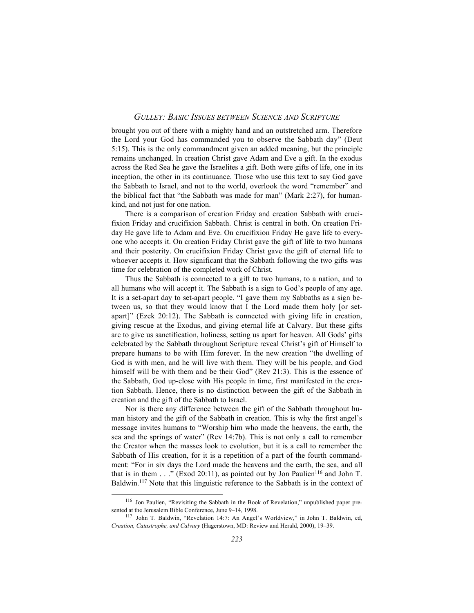brought you out of there with a mighty hand and an outstretched arm. Therefore the Lord your God has commanded you to observe the Sabbath day" (Deut 5:15). This is the only commandment given an added meaning, but the principle remains unchanged. In creation Christ gave Adam and Eve a gift. In the exodus across the Red Sea he gave the Israelites a gift. Both were gifts of life, one in its inception, the other in its continuance. Those who use this text to say God gave the Sabbath to Israel, and not to the world, overlook the word "remember" and the biblical fact that "the Sabbath was made for man" (Mark 2:27), for humankind, and not just for one nation.

There is a comparison of creation Friday and creation Sabbath with crucifixion Friday and crucifixion Sabbath. Christ is central in both. On creation Friday He gave life to Adam and Eve. On crucifixion Friday He gave life to everyone who accepts it. On creation Friday Christ gave the gift of life to two humans and their posterity. On crucifixion Friday Christ gave the gift of eternal life to whoever accepts it. How significant that the Sabbath following the two gifts was time for celebration of the completed work of Christ.

Thus the Sabbath is connected to a gift to two humans, to a nation, and to all humans who will accept it. The Sabbath is a sign to God's people of any age. It is a set-apart day to set-apart people. "I gave them my Sabbaths as a sign between us, so that they would know that I the Lord made them holy [or setapart]" (Ezek 20:12). The Sabbath is connected with giving life in creation, giving rescue at the Exodus, and giving eternal life at Calvary. But these gifts are to give us sanctification, holiness, setting us apart for heaven. All Gods' gifts celebrated by the Sabbath throughout Scripture reveal Christ's gift of Himself to prepare humans to be with Him forever. In the new creation "the dwelling of God is with men, and he will live with them. They will be his people, and God himself will be with them and be their God" (Rev 21:3). This is the essence of the Sabbath, God up-close with His people in time, first manifested in the creation Sabbath. Hence, there is no distinction between the gift of the Sabbath in creation and the gift of the Sabbath to Israel.

Nor is there any difference between the gift of the Sabbath throughout human history and the gift of the Sabbath in creation. This is why the first angel's message invites humans to "Worship him who made the heavens, the earth, the sea and the springs of water" (Rev 14:7b). This is not only a call to remember the Creator when the masses look to evolution, but it is a call to remember the Sabbath of His creation, for it is a repetition of a part of the fourth commandment: "For in six days the Lord made the heavens and the earth, the sea, and all that is in them  $\ldots$  " (Exod 20:11), as pointed out by Jon Paulien<sup>116</sup> and John T. Baldwin.<sup>117</sup> Note that this linguistic reference to the Sabbath is in the context of

<sup>116</sup> Jon Paulien, "Revisiting the Sabbath in the Book of Revelation," unpublished paper presented at the Jerusalem Bible Conference, June 9–14, 1998.

<sup>117</sup> John T. Baldwin, "Revelation 14:7: An Angel's Worldview," in John T. Baldwin, ed, *Creation, Catastrophe, and Calvary* (Hagerstown, MD: Review and Herald, 2000), 19–39.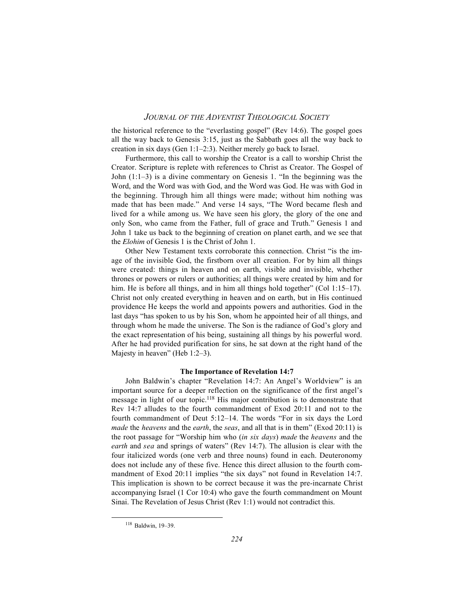the historical reference to the "everlasting gospel" (Rev 14:6). The gospel goes all the way back to Genesis 3:15, just as the Sabbath goes all the way back to creation in six days (Gen 1:1–2:3). Neither merely go back to Israel.

Furthermore, this call to worship the Creator is a call to worship Christ the Creator. Scripture is replete with references to Christ as Creator. The Gospel of John (1:1–3) is a divine commentary on Genesis 1. "In the beginning was the Word, and the Word was with God, and the Word was God. He was with God in the beginning. Through him all things were made; without him nothing was made that has been made." And verse 14 says, "The Word became flesh and lived for a while among us. We have seen his glory, the glory of the one and only Son, who came from the Father, full of grace and Truth." Genesis 1 and John 1 take us back to the beginning of creation on planet earth, and we see that the *Elohim* of Genesis 1 is the Christ of John 1.

Other New Testament texts corroborate this connection. Christ "is the image of the invisible God, the firstborn over all creation. For by him all things were created: things in heaven and on earth, visible and invisible, whether thrones or powers or rulers or authorities; all things were created by him and for him. He is before all things, and in him all things hold together" (Col 1:15–17). Christ not only created everything in heaven and on earth, but in His continued providence He keeps the world and appoints powers and authorities. God in the last days "has spoken to us by his Son, whom he appointed heir of all things, and through whom he made the universe. The Son is the radiance of God's glory and the exact representation of his being, sustaining all things by his powerful word. After he had provided purification for sins, he sat down at the right hand of the Majesty in heaven" (Heb 1:2–3).

#### **The Importance of Revelation 14:7**

John Baldwin's chapter "Revelation 14:7: An Angel's Worldview" is an important source for a deeper reflection on the significance of the first angel's message in light of our topic.<sup>118</sup> His major contribution is to demonstrate that Rev 14:7 alludes to the fourth commandment of Exod 20:11 and not to the fourth commandment of Deut 5:12–14. The words "For in six days the Lord *made* the *heavens* and the *earth*, the *seas*, and all that is in them" (Exod 20:11) is the root passage for "Worship him who (*in six days*) *made* the *heavens* and the *earth* and *sea* and springs of waters" (Rev 14:7). The allusion is clear with the four italicized words (one verb and three nouns) found in each. Deuteronomy does not include any of these five. Hence this direct allusion to the fourth commandment of Exod 20:11 implies "the six days" not found in Revelation 14:7. This implication is shown to be correct because it was the pre-incarnate Christ accompanying Israel (1 Cor 10:4) who gave the fourth commandment on Mount Sinai. The Revelation of Jesus Christ (Rev 1:1) would not contradict this.

<sup>118</sup> Baldwin, 19–39.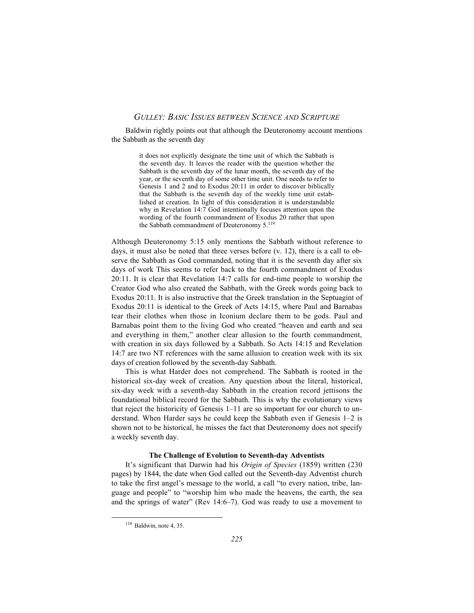Baldwin rightly points out that although the Deuteronomy account mentions the Sabbath as the seventh day

> it does not explicitly designate the time unit of which the Sabbath is the seventh day. It leaves the reader with the question whether the Sabbath is the seventh day of the lunar month, the seventh day of the year, or the seventh day of some other time unit. One needs to refer to Genesis 1 and 2 and to Exodus 20:11 in order to discover biblically that the Sabbath is the seventh day of the weekly time unit established at creation. In light of this consideration it is understandable why in Revelation 14:7 God intentionally focuses attention upon the wording of the fourth commandment of Exodus 20 rather that upon the Sabbath commandment of Deuteronomy 5.<sup>119</sup>

Although Deuteronomy 5:15 only mentions the Sabbath without reference to days, it must also be noted that three verses before (v. 12), there is a call to observe the Sabbath as God commanded, noting that it is the seventh day after six days of work This seems to refer back to the fourth commandment of Exodus 20:11. It is clear that Revelation 14:7 calls for end-time people to worship the Creator God who also created the Sabbath, with the Greek words going back to Exodus 20:11. It is also instructive that the Greek translation in the Septuagint of Exodus 20:11 is identical to the Greek of Acts 14:15, where Paul and Barnabas tear their clothes when those in Iconium declare them to be gods. Paul and Barnabas point them to the living God who created "heaven and earth and sea and everything in them," another clear allusion to the fourth commandment, with creation in six days followed by a Sabbath. So Acts 14:15 and Revelation 14:7 are two NT references with the same allusion to creation week with its six days of creation followed by the seventh-day Sabbath.

This is what Harder does not comprehend. The Sabbath is rooted in the historical six-day week of creation. Any question about the literal, historical, six-day week with a seventh-day Sabbath in the creation record jettisons the foundational biblical record for the Sabbath. This is why the evolutionary views that reject the historicity of Genesis 1–11 are so important for our church to understand. When Harder says he could keep the Sabbath even if Genesis 1–2 is shown not to be historical, he misses the fact that Deuteronomy does not specify a weekly seventh day.

#### **The Challenge of Evolution to Seventh-day Adventists**

It's significant that Darwin had his *Origin of Species* (1859) written (230 pages) by 1844, the date when God called out the Seventh-day Adventist church to take the first angel's message to the world, a call "to every nation, tribe, language and people" to "worship him who made the heavens, the earth, the sea and the springs of water" (Rev 14:6–7). God was ready to use a movement to

<sup>119</sup> Baldwin, note 4, 35.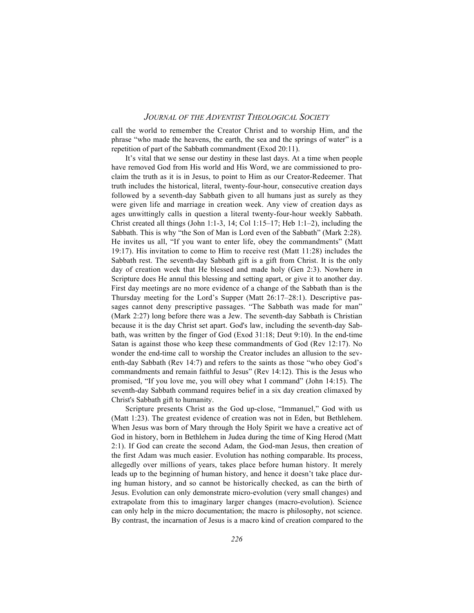call the world to remember the Creator Christ and to worship Him, and the phrase "who made the heavens, the earth, the sea and the springs of water" is a repetition of part of the Sabbath commandment (Exod 20:11).

It's vital that we sense our destiny in these last days. At a time when people have removed God from His world and His Word, we are commissioned to proclaim the truth as it is in Jesus, to point to Him as our Creator-Redeemer. That truth includes the historical, literal, twenty-four-hour, consecutive creation days followed by a seventh-day Sabbath given to all humans just as surely as they were given life and marriage in creation week. Any view of creation days as ages unwittingly calls in question a literal twenty-four-hour weekly Sabbath. Christ created all things (John 1:1-3, 14; Col 1:15–17; Heb 1:1–2), including the Sabbath. This is why "the Son of Man is Lord even of the Sabbath" (Mark 2:28). He invites us all, "If you want to enter life, obey the commandments" (Matt 19:17). His invitation to come to Him to receive rest (Matt 11:28) includes the Sabbath rest. The seventh-day Sabbath gift is a gift from Christ. It is the only day of creation week that He blessed and made holy (Gen 2:3). Nowhere in Scripture does He annul this blessing and setting apart, or give it to another day. First day meetings are no more evidence of a change of the Sabbath than is the Thursday meeting for the Lord's Supper (Matt 26:17–28:1). Descriptive passages cannot deny prescriptive passages. "The Sabbath was made for man" (Mark 2:27) long before there was a Jew. The seventh-day Sabbath is Christian because it is the day Christ set apart. God's law, including the seventh-day Sabbath, was written by the finger of God (Exod 31:18; Deut 9:10). In the end-time Satan is against those who keep these commandments of God (Rev 12:17). No wonder the end-time call to worship the Creator includes an allusion to the seventh-day Sabbath (Rev 14:7) and refers to the saints as those "who obey God's commandments and remain faithful to Jesus" (Rev 14:12). This is the Jesus who promised, "If you love me, you will obey what I command" (John 14:15). The seventh-day Sabbath command requires belief in a six day creation climaxed by Christ's Sabbath gift to humanity.

Scripture presents Christ as the God up-close, "Immanuel," God with us (Matt 1:23). The greatest evidence of creation was not in Eden, but Bethlehem. When Jesus was born of Mary through the Holy Spirit we have a creative act of God in history, born in Bethlehem in Judea during the time of King Herod (Matt 2:1). If God can create the second Adam, the God-man Jesus, then creation of the first Adam was much easier. Evolution has nothing comparable. Its process, allegedly over millions of years, takes place before human history. It merely leads up to the beginning of human history, and hence it doesn't take place during human history, and so cannot be historically checked, as can the birth of Jesus. Evolution can only demonstrate micro-evolution (very small changes) and extrapolate from this to imaginary larger changes (macro-evolution). Science can only help in the micro documentation; the macro is philosophy, not science. By contrast, the incarnation of Jesus is a macro kind of creation compared to the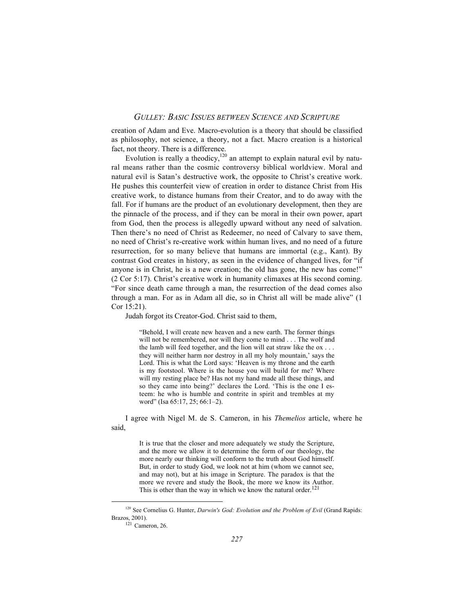creation of Adam and Eve. Macro-evolution is a theory that should be classified as philosophy, not science, a theory, not a fact. Macro creation is a historical fact, not theory. There is a difference.

Evolution is really a theodicy,<sup>120</sup> an attempt to explain natural evil by natural means rather than the cosmic controversy biblical worldview. Moral and natural evil is Satan's destructive work, the opposite to Christ's creative work. He pushes this counterfeit view of creation in order to distance Christ from His creative work, to distance humans from their Creator, and to do away with the fall. For if humans are the product of an evolutionary development, then they are the pinnacle of the process, and if they can be moral in their own power, apart from God, then the process is allegedly upward without any need of salvation. Then there's no need of Christ as Redeemer, no need of Calvary to save them, no need of Christ's re-creative work within human lives, and no need of a future resurrection, for so many believe that humans are immortal (e.g., Kant). By contrast God creates in history, as seen in the evidence of changed lives, for "if anyone is in Christ, he is a new creation; the old has gone, the new has come!" (2 Cor 5:17). Christ's creative work in humanity climaxes at His second coming. "For since death came through a man, the resurrection of the dead comes also through a man. For as in Adam all die, so in Christ all will be made alive" (1 Cor 15:21).

Judah forgot its Creator-God. Christ said to them,

"Behold, I will create new heaven and a new earth. The former things will not be remembered, nor will they come to mind . . . The wolf and the lamb will feed together, and the lion will eat straw like the ox . . . they will neither harm nor destroy in all my holy mountain,' says the Lord. This is what the Lord says: 'Heaven is my throne and the earth is my footstool. Where is the house you will build for me? Where will my resting place be? Has not my hand made all these things, and so they came into being?' declares the Lord. 'This is the one I esteem: he who is humble and contrite in spirit and trembles at my word" (Isa 65:17, 25; 66:1-2).

I agree with Nigel M. de S. Cameron, in his *Themelios* article, where he said,

> It is true that the closer and more adequately we study the Scripture, and the more we allow it to determine the form of our theology, the more nearly our thinking will conform to the truth about God himself. But, in order to study God, we look not at him (whom we cannot see, and may not), but at his image in Scripture. The paradox is that the more we revere and study the Book, the more we know its Author. This is other than the way in which we know the natural order.<sup>121</sup>

<sup>&</sup>lt;sup>120</sup> See Cornelius G. Hunter, *Darwin's God: Evolution and the Problem of Evil* (Grand Rapids: Brazos, 2001).

<sup>121</sup> Cameron, 26.